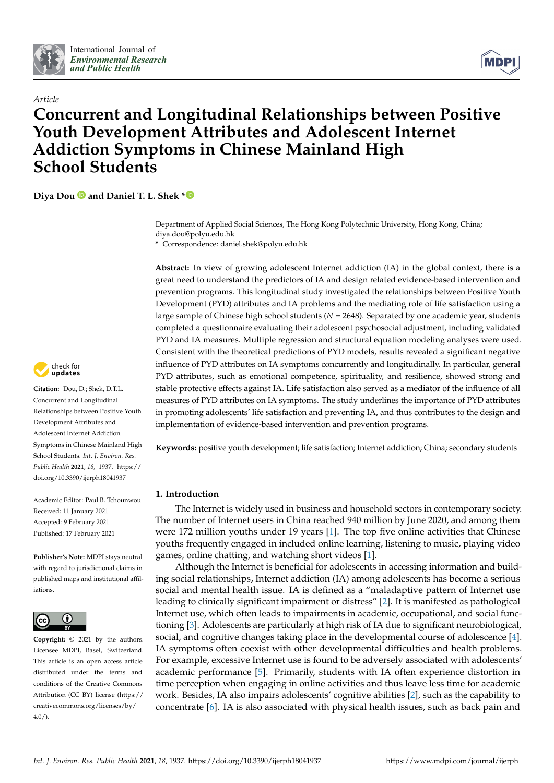

*Article*



# **Concurrent and Longitudinal Relationships between Positive Youth Development Attributes and Adolescent Internet Addiction Symptoms in Chinese Mainland High School Students**

**Diya Dou and Daniel T. L. Shek [\\*](https://orcid.org/0000-0003-3359-6229)**

Department of Applied Social Sciences, The Hong Kong Polytechnic University, Hong Kong, China; diya.dou@polyu.edu.hk

**\*** Correspondence: daniel.shek@polyu.edu.hk

**Abstract:** In view of growing adolescent Internet addiction (IA) in the global context, there is a great need to understand the predictors of IA and design related evidence-based intervention and prevention programs. This longitudinal study investigated the relationships between Positive Youth Development (PYD) attributes and IA problems and the mediating role of life satisfaction using a large sample of Chinese high school students (*N* = 2648). Separated by one academic year, students completed a questionnaire evaluating their adolescent psychosocial adjustment, including validated PYD and IA measures. Multiple regression and structural equation modeling analyses were used. Consistent with the theoretical predictions of PYD models, results revealed a significant negative influence of PYD attributes on IA symptoms concurrently and longitudinally. In particular, general PYD attributes, such as emotional competence, spirituality, and resilience, showed strong and stable protective effects against IA. Life satisfaction also served as a mediator of the influence of all measures of PYD attributes on IA symptoms. The study underlines the importance of PYD attributes in promoting adolescents' life satisfaction and preventing IA, and thus contributes to the design and implementation of evidence-based intervention and prevention programs.

**Keywords:** positive youth development; life satisfaction; Internet addiction; China; secondary students

# **1. Introduction**

The Internet is widely used in business and household sectors in contemporary society. The number of Internet users in China reached 940 million by June 2020, and among them were 172 million youths under 19 years [\[1\]](#page-15-0). The top five online activities that Chinese youths frequently engaged in included online learning, listening to music, playing video games, online chatting, and watching short videos [\[1\]](#page-15-0).

Although the Internet is beneficial for adolescents in accessing information and building social relationships, Internet addiction (IA) among adolescents has become a serious social and mental health issue. IA is defined as a "maladaptive pattern of Internet use leading to clinically significant impairment or distress" [\[2\]](#page-15-1). It is manifested as pathological Internet use, which often leads to impairments in academic, occupational, and social functioning [\[3\]](#page-15-2). Adolescents are particularly at high risk of IA due to significant neurobiological, social, and cognitive changes taking place in the developmental course of adolescence [\[4\]](#page-15-3). IA symptoms often coexist with other developmental difficulties and health problems. For example, excessive Internet use is found to be adversely associated with adolescents' academic performance [\[5\]](#page-15-4). Primarily, students with IA often experience distortion in time perception when engaging in online activities and thus leave less time for academic work. Besides, IA also impairs adolescents' cognitive abilities [\[2\]](#page-15-1), such as the capability to concentrate [\[6\]](#page-15-5). IA is also associated with physical health issues, such as back pain and



**Citation:** Dou, D.; Shek, D.T.L. Concurrent and Longitudinal Relationships between Positive Youth Development Attributes and Adolescent Internet Addiction Symptoms in Chinese Mainland High School Students. *Int. J. Environ. Res. Public Health* **2021**, *18*, 1937. [https://](https://doi.org/10.3390/ijerph18041937) [doi.org/10.3390/ijerph18041937](https://doi.org/10.3390/ijerph18041937)

Academic Editor: Paul B. Tchounwou Received: 11 January 2021 Accepted: 9 February 2021 Published: 17 February 2021

**Publisher's Note:** MDPI stays neutral with regard to jurisdictional claims in published maps and institutional affiliations.



**Copyright:** © 2021 by the authors. Licensee MDPI, Basel, Switzerland. This article is an open access article distributed under the terms and conditions of the Creative Commons Attribution (CC BY) license (https:/[/](https://creativecommons.org/licenses/by/4.0/) [creativecommons.org/licenses/by/](https://creativecommons.org/licenses/by/4.0/) 4.0/).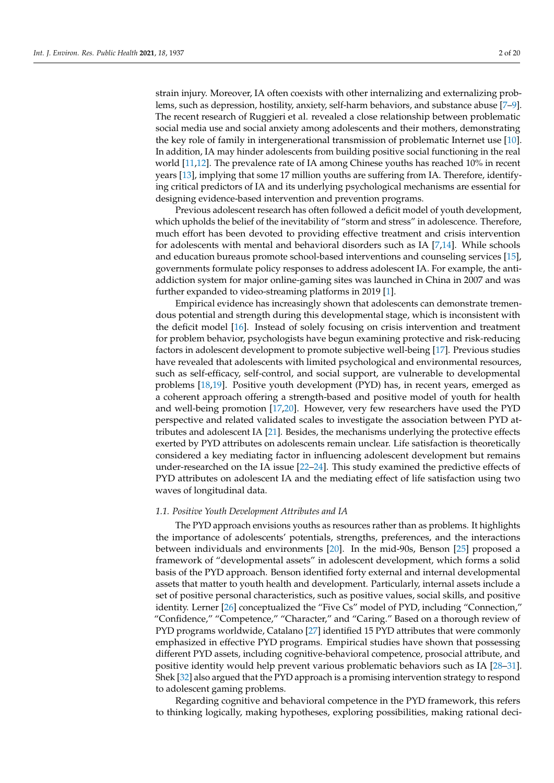strain injury. Moreover, IA often coexists with other internalizing and externalizing problems, such as depression, hostility, anxiety, self-harm behaviors, and substance abuse [\[7](#page-15-6)[–9\]](#page-15-7). The recent research of Ruggieri et al. revealed a close relationship between problematic social media use and social anxiety among adolescents and their mothers, demonstrating the key role of family in intergenerational transmission of problematic Internet use [\[10\]](#page-15-8). In addition, IA may hinder adolescents from building positive social functioning in the real world [\[11,](#page-15-9)[12\]](#page-15-10). The prevalence rate of IA among Chinese youths has reached 10% in recent years [\[13\]](#page-15-11), implying that some 17 million youths are suffering from IA. Therefore, identifying critical predictors of IA and its underlying psychological mechanisms are essential for designing evidence-based intervention and prevention programs.

Previous adolescent research has often followed a deficit model of youth development, which upholds the belief of the inevitability of "storm and stress" in adolescence. Therefore, much effort has been devoted to providing effective treatment and crisis intervention for adolescents with mental and behavioral disorders such as IA [\[7,](#page-15-6)[14\]](#page-15-12). While schools and education bureaus promote school-based interventions and counseling services [\[15\]](#page-16-0), governments formulate policy responses to address adolescent IA. For example, the antiaddiction system for major online-gaming sites was launched in China in 2007 and was further expanded to video-streaming platforms in 2019 [\[1\]](#page-15-0).

Empirical evidence has increasingly shown that adolescents can demonstrate tremendous potential and strength during this developmental stage, which is inconsistent with the deficit model [\[16\]](#page-16-1). Instead of solely focusing on crisis intervention and treatment for problem behavior, psychologists have begun examining protective and risk-reducing factors in adolescent development to promote subjective well-being [\[17\]](#page-16-2). Previous studies have revealed that adolescents with limited psychological and environmental resources, such as self-efficacy, self-control, and social support, are vulnerable to developmental problems [\[18](#page-16-3)[,19\]](#page-16-4). Positive youth development (PYD) has, in recent years, emerged as a coherent approach offering a strength-based and positive model of youth for health and well-being promotion [\[17,](#page-16-2)[20\]](#page-16-5). However, very few researchers have used the PYD perspective and related validated scales to investigate the association between PYD attributes and adolescent IA [\[21\]](#page-16-6). Besides, the mechanisms underlying the protective effects exerted by PYD attributes on adolescents remain unclear. Life satisfaction is theoretically considered a key mediating factor in influencing adolescent development but remains under-researched on the IA issue [\[22](#page-16-7)[–24\]](#page-16-8). This study examined the predictive effects of PYD attributes on adolescent IA and the mediating effect of life satisfaction using two waves of longitudinal data.

#### *1.1. Positive Youth Development Attributes and IA*

The PYD approach envisions youths as resources rather than as problems. It highlights the importance of adolescents' potentials, strengths, preferences, and the interactions between individuals and environments [\[20\]](#page-16-5). In the mid-90s, Benson [\[25\]](#page-16-9) proposed a framework of "developmental assets" in adolescent development, which forms a solid basis of the PYD approach. Benson identified forty external and internal developmental assets that matter to youth health and development. Particularly, internal assets include a set of positive personal characteristics, such as positive values, social skills, and positive identity. Lerner [\[26\]](#page-16-10) conceptualized the "Five Cs" model of PYD, including "Connection," "Confidence," "Competence," "Character," and "Caring." Based on a thorough review of PYD programs worldwide, Catalano [\[27\]](#page-16-11) identified 15 PYD attributes that were commonly emphasized in effective PYD programs. Empirical studies have shown that possessing different PYD assets, including cognitive-behavioral competence, prosocial attribute, and positive identity would help prevent various problematic behaviors such as IA [\[28](#page-16-12)[–31\]](#page-16-13). Shek [\[32\]](#page-16-14) also argued that the PYD approach is a promising intervention strategy to respond to adolescent gaming problems.

Regarding cognitive and behavioral competence in the PYD framework, this refers to thinking logically, making hypotheses, exploring possibilities, making rational deci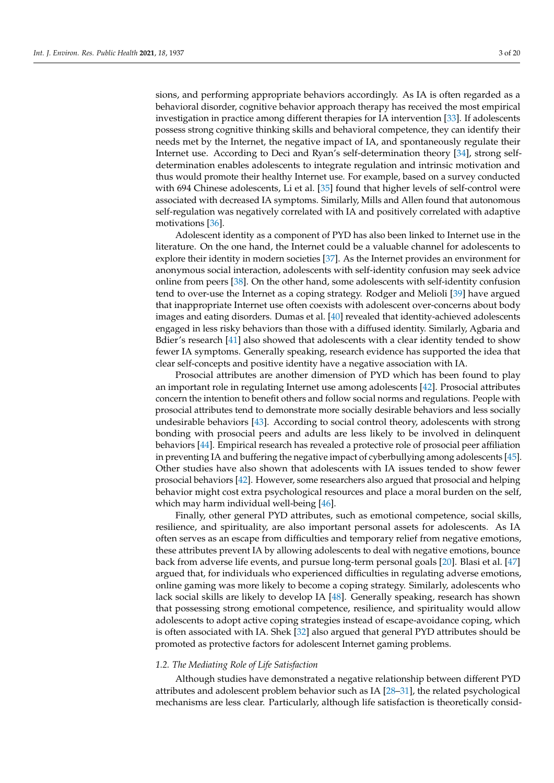sions, and performing appropriate behaviors accordingly. As IA is often regarded as a behavioral disorder, cognitive behavior approach therapy has received the most empirical investigation in practice among different therapies for IA intervention [\[33\]](#page-16-15). If adolescents possess strong cognitive thinking skills and behavioral competence, they can identify their needs met by the Internet, the negative impact of IA, and spontaneously regulate their Internet use. According to Deci and Ryan's self-determination theory [\[34\]](#page-16-16), strong selfdetermination enables adolescents to integrate regulation and intrinsic motivation and thus would promote their healthy Internet use. For example, based on a survey conducted with 694 Chinese adolescents, Li et al. [\[35\]](#page-16-17) found that higher levels of self-control were associated with decreased IA symptoms. Similarly, Mills and Allen found that autonomous self-regulation was negatively correlated with IA and positively correlated with adaptive motivations [\[36\]](#page-16-18).

Adolescent identity as a component of PYD has also been linked to Internet use in the literature. On the one hand, the Internet could be a valuable channel for adolescents to explore their identity in modern societies [\[37\]](#page-16-19). As the Internet provides an environment for anonymous social interaction, adolescents with self-identity confusion may seek advice online from peers [\[38\]](#page-16-20). On the other hand, some adolescents with self-identity confusion tend to over-use the Internet as a coping strategy. Rodger and Melioli [\[39\]](#page-16-21) have argued that inappropriate Internet use often coexists with adolescent over-concerns about body images and eating disorders. Dumas et al. [\[40\]](#page-16-22) revealed that identity-achieved adolescents engaged in less risky behaviors than those with a diffused identity. Similarly, Agbaria and Bdier's research [\[41\]](#page-16-23) also showed that adolescents with a clear identity tended to show fewer IA symptoms. Generally speaking, research evidence has supported the idea that clear self-concepts and positive identity have a negative association with IA.

Prosocial attributes are another dimension of PYD which has been found to play an important role in regulating Internet use among adolescents [\[42\]](#page-16-24). Prosocial attributes concern the intention to benefit others and follow social norms and regulations. People with prosocial attributes tend to demonstrate more socially desirable behaviors and less socially undesirable behaviors [\[43\]](#page-17-0). According to social control theory, adolescents with strong bonding with prosocial peers and adults are less likely to be involved in delinquent behaviors [\[44\]](#page-17-1). Empirical research has revealed a protective role of prosocial peer affiliation in preventing IA and buffering the negative impact of cyberbullying among adolescents [\[45\]](#page-17-2). Other studies have also shown that adolescents with IA issues tended to show fewer prosocial behaviors [\[42\]](#page-16-24). However, some researchers also argued that prosocial and helping behavior might cost extra psychological resources and place a moral burden on the self, which may harm individual well-being [\[46\]](#page-17-3).

Finally, other general PYD attributes, such as emotional competence, social skills, resilience, and spirituality, are also important personal assets for adolescents. As IA often serves as an escape from difficulties and temporary relief from negative emotions, these attributes prevent IA by allowing adolescents to deal with negative emotions, bounce back from adverse life events, and pursue long-term personal goals [\[20\]](#page-16-5). Blasi et al. [\[47\]](#page-17-4) argued that, for individuals who experienced difficulties in regulating adverse emotions, online gaming was more likely to become a coping strategy. Similarly, adolescents who lack social skills are likely to develop IA [\[48\]](#page-17-5). Generally speaking, research has shown that possessing strong emotional competence, resilience, and spirituality would allow adolescents to adopt active coping strategies instead of escape-avoidance coping, which is often associated with IA. Shek [\[32\]](#page-16-14) also argued that general PYD attributes should be promoted as protective factors for adolescent Internet gaming problems.

## *1.2. The Mediating Role of Life Satisfaction*

Although studies have demonstrated a negative relationship between different PYD attributes and adolescent problem behavior such as IA [\[28](#page-16-12)[–31\]](#page-16-13), the related psychological mechanisms are less clear. Particularly, although life satisfaction is theoretically consid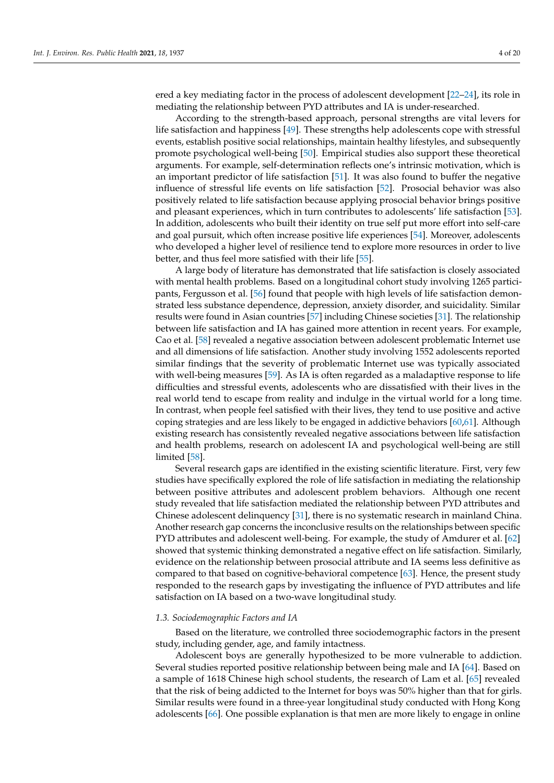ered a key mediating factor in the process of adolescent development [\[22–](#page-16-7)[24\]](#page-16-8), its role in mediating the relationship between PYD attributes and IA is under-researched.

According to the strength-based approach, personal strengths are vital levers for life satisfaction and happiness [\[49\]](#page-17-6). These strengths help adolescents cope with stressful events, establish positive social relationships, maintain healthy lifestyles, and subsequently promote psychological well-being [\[50\]](#page-17-7). Empirical studies also support these theoretical arguments. For example, self-determination reflects one's intrinsic motivation, which is an important predictor of life satisfaction [\[51\]](#page-17-8). It was also found to buffer the negative influence of stressful life events on life satisfaction [\[52\]](#page-17-9). Prosocial behavior was also positively related to life satisfaction because applying prosocial behavior brings positive and pleasant experiences, which in turn contributes to adolescents' life satisfaction [\[53\]](#page-17-10). In addition, adolescents who built their identity on true self put more effort into self-care and goal pursuit, which often increase positive life experiences [\[54\]](#page-17-11). Moreover, adolescents who developed a higher level of resilience tend to explore more resources in order to live better, and thus feel more satisfied with their life [\[55\]](#page-17-12).

A large body of literature has demonstrated that life satisfaction is closely associated with mental health problems. Based on a longitudinal cohort study involving 1265 participants, Fergusson et al. [\[56\]](#page-17-13) found that people with high levels of life satisfaction demonstrated less substance dependence, depression, anxiety disorder, and suicidality. Similar results were found in Asian countries [\[57\]](#page-17-14) including Chinese societies [\[31\]](#page-16-13). The relationship between life satisfaction and IA has gained more attention in recent years. For example, Cao et al. [\[58\]](#page-17-15) revealed a negative association between adolescent problematic Internet use and all dimensions of life satisfaction. Another study involving 1552 adolescents reported similar findings that the severity of problematic Internet use was typically associated with well-being measures [\[59\]](#page-17-16). As IA is often regarded as a maladaptive response to life difficulties and stressful events, adolescents who are dissatisfied with their lives in the real world tend to escape from reality and indulge in the virtual world for a long time. In contrast, when people feel satisfied with their lives, they tend to use positive and active coping strategies and are less likely to be engaged in addictive behaviors [\[60](#page-17-17)[,61\]](#page-17-18). Although existing research has consistently revealed negative associations between life satisfaction and health problems, research on adolescent IA and psychological well-being are still limited [\[58\]](#page-17-15).

Several research gaps are identified in the existing scientific literature. First, very few studies have specifically explored the role of life satisfaction in mediating the relationship between positive attributes and adolescent problem behaviors. Although one recent study revealed that life satisfaction mediated the relationship between PYD attributes and Chinese adolescent delinquency [\[31\]](#page-16-13), there is no systematic research in mainland China. Another research gap concerns the inconclusive results on the relationships between specific PYD attributes and adolescent well-being. For example, the study of Amdurer et al. [\[62\]](#page-17-19) showed that systemic thinking demonstrated a negative effect on life satisfaction. Similarly, evidence on the relationship between prosocial attribute and IA seems less definitive as compared to that based on cognitive-behavioral competence [\[63\]](#page-17-20). Hence, the present study responded to the research gaps by investigating the influence of PYD attributes and life satisfaction on IA based on a two-wave longitudinal study.

#### *1.3. Sociodemographic Factors and IA*

Based on the literature, we controlled three sociodemographic factors in the present study, including gender, age, and family intactness.

Adolescent boys are generally hypothesized to be more vulnerable to addiction. Several studies reported positive relationship between being male and IA [\[64\]](#page-17-21). Based on a sample of 1618 Chinese high school students, the research of Lam et al. [\[65\]](#page-17-22) revealed that the risk of being addicted to the Internet for boys was 50% higher than that for girls. Similar results were found in a three-year longitudinal study conducted with Hong Kong adolescents [\[66\]](#page-17-23). One possible explanation is that men are more likely to engage in online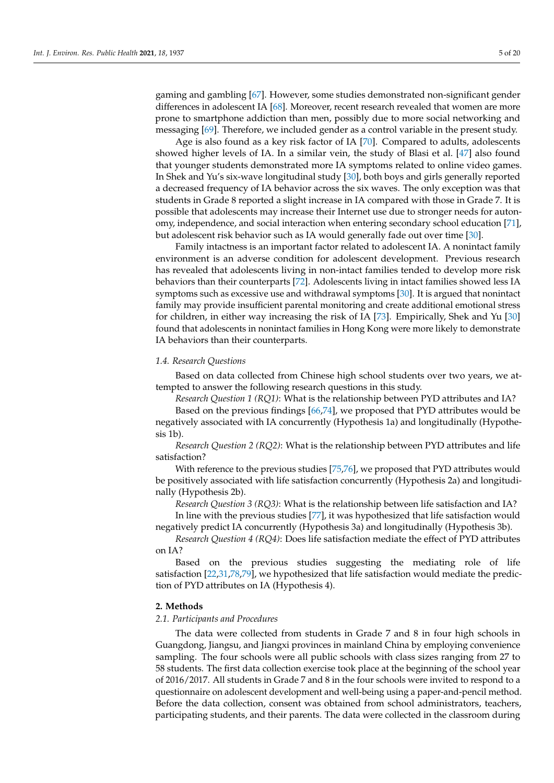gaming and gambling [\[67\]](#page-17-24). However, some studies demonstrated non-significant gender differences in adolescent IA [\[68\]](#page-17-25). Moreover, recent research revealed that women are more prone to smartphone addiction than men, possibly due to more social networking and messaging [\[69\]](#page-17-26). Therefore, we included gender as a control variable in the present study.

Age is also found as a key risk factor of IA [\[70\]](#page-17-27). Compared to adults, adolescents showed higher levels of IA. In a similar vein, the study of Blasi et al. [\[47\]](#page-17-4) also found that younger students demonstrated more IA symptoms related to online video games. In Shek and Yu's six-wave longitudinal study [\[30\]](#page-16-25), both boys and girls generally reported a decreased frequency of IA behavior across the six waves. The only exception was that students in Grade 8 reported a slight increase in IA compared with those in Grade 7. It is possible that adolescents may increase their Internet use due to stronger needs for autonomy, independence, and social interaction when entering secondary school education [\[71\]](#page-17-28), but adolescent risk behavior such as IA would generally fade out over time [\[30\]](#page-16-25).

Family intactness is an important factor related to adolescent IA. A nonintact family environment is an adverse condition for adolescent development. Previous research has revealed that adolescents living in non-intact families tended to develop more risk behaviors than their counterparts [\[72\]](#page-18-0). Adolescents living in intact families showed less IA symptoms such as excessive use and withdrawal symptoms [\[30\]](#page-16-25). It is argued that nonintact family may provide insufficient parental monitoring and create additional emotional stress for children, in either way increasing the risk of IA [\[73\]](#page-18-1). Empirically, Shek and Yu [\[30\]](#page-16-25) found that adolescents in nonintact families in Hong Kong were more likely to demonstrate IA behaviors than their counterparts.

# *1.4. Research Questions*

Based on data collected from Chinese high school students over two years, we attempted to answer the following research questions in this study.

*Research Question 1 (RQ1)*: What is the relationship between PYD attributes and IA?

Based on the previous findings [\[66](#page-17-23)[,74\]](#page-18-2), we proposed that PYD attributes would be negatively associated with IA concurrently (Hypothesis 1a) and longitudinally (Hypothesis 1b).

*Research Question 2 (RQ2)*: What is the relationship between PYD attributes and life satisfaction?

With reference to the previous studies [\[75](#page-18-3)[,76\]](#page-18-4), we proposed that PYD attributes would be positively associated with life satisfaction concurrently (Hypothesis 2a) and longitudinally (Hypothesis 2b).

*Research Question 3 (RQ3)*: What is the relationship between life satisfaction and IA? In line with the previous studies [\[77\]](#page-18-5), it was hypothesized that life satisfaction would negatively predict IA concurrently (Hypothesis 3a) and longitudinally (Hypothesis 3b).

*Research Question 4 (RQ4)*: Does life satisfaction mediate the effect of PYD attributes on IA?

Based on the previous studies suggesting the mediating role of life satisfaction [\[22,](#page-16-7)[31,](#page-16-13)[78,](#page-18-6)[79\]](#page-18-7), we hypothesized that life satisfaction would mediate the prediction of PYD attributes on IA (Hypothesis 4).

## **2. Methods**

# *2.1. Participants and Procedures*

The data were collected from students in Grade 7 and 8 in four high schools in Guangdong, Jiangsu, and Jiangxi provinces in mainland China by employing convenience sampling. The four schools were all public schools with class sizes ranging from 27 to 58 students. The first data collection exercise took place at the beginning of the school year of 2016/2017. All students in Grade 7 and 8 in the four schools were invited to respond to a questionnaire on adolescent development and well-being using a paper-and-pencil method. Before the data collection, consent was obtained from school administrators, teachers, participating students, and their parents. The data were collected in the classroom during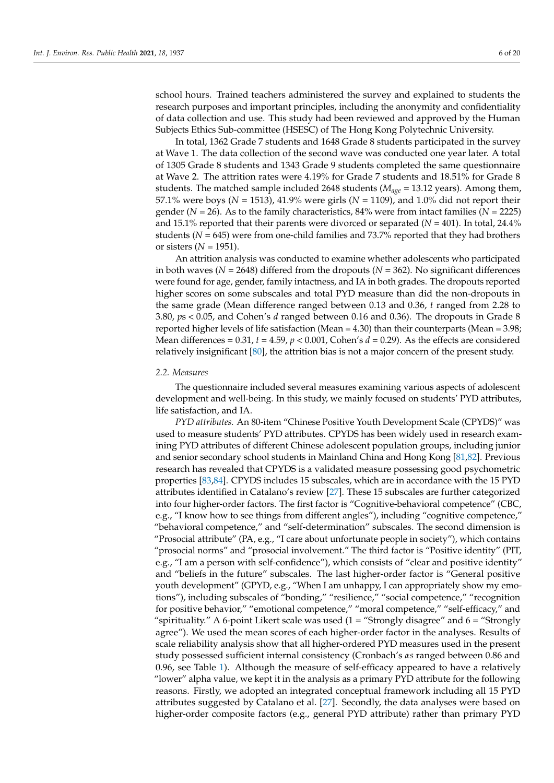school hours. Trained teachers administered the survey and explained to students the research purposes and important principles, including the anonymity and confidentiality of data collection and use. This study had been reviewed and approved by the Human Subjects Ethics Sub-committee (HSESC) of The Hong Kong Polytechnic University.

In total, 1362 Grade 7 students and 1648 Grade 8 students participated in the survey at Wave 1. The data collection of the second wave was conducted one year later. A total of 1305 Grade 8 students and 1343 Grade 9 students completed the same questionnaire at Wave 2. The attrition rates were 4.19% for Grade 7 students and 18.51% for Grade 8 students. The matched sample included 2648 students (*Mage* = 13.12 years). Among them, 57.1% were boys (*N* = 1513), 41.9% were girls (*N* = 1109), and 1.0% did not report their gender ( $N = 26$ ). As to the family characteristics, 84% were from intact families ( $N = 2225$ ) and 15.1% reported that their parents were divorced or separated  $(N = 401)$ . In total, 24.4% students ( $N = 645$ ) were from one-child families and 73.7% reported that they had brothers or sisters  $(N = 1951)$ .

An attrition analysis was conducted to examine whether adolescents who participated in both waves ( $N = 2648$ ) differed from the dropouts ( $N = 362$ ). No significant differences were found for age, gender, family intactness, and IA in both grades. The dropouts reported higher scores on some subscales and total PYD measure than did the non-dropouts in the same grade (Mean difference ranged between 0.13 and 0.36, *t* ranged from 2.28 to 3.80, *p*s < 0.05, and Cohen's *d* ranged between 0.16 and 0.36). The dropouts in Grade 8 reported higher levels of life satisfaction (Mean = 4.30) than their counterparts (Mean = 3.98; Mean differences =  $0.31$ ,  $t = 4.59$ ,  $p < 0.001$ , Cohen's  $d = 0.29$ ). As the effects are considered relatively insignificant [\[80\]](#page-18-8), the attrition bias is not a major concern of the present study.

#### *2.2. Measures*

The questionnaire included several measures examining various aspects of adolescent development and well-being. In this study, we mainly focused on students' PYD attributes, life satisfaction, and IA.

*PYD attributes.* An 80-item "Chinese Positive Youth Development Scale (CPYDS)" was used to measure students' PYD attributes. CPYDS has been widely used in research examining PYD attributes of different Chinese adolescent population groups, including junior and senior secondary school students in Mainland China and Hong Kong [\[81,](#page-18-9)[82\]](#page-18-10). Previous research has revealed that CPYDS is a validated measure possessing good psychometric properties [\[83,](#page-18-11)[84\]](#page-18-12). CPYDS includes 15 subscales, which are in accordance with the 15 PYD attributes identified in Catalano's review [\[27\]](#page-16-11). These 15 subscales are further categorized into four higher-order factors. The first factor is "Cognitive-behavioral competence" (CBC, e.g., "I know how to see things from different angles"), including "cognitive competence," "behavioral competence," and "self-determination" subscales. The second dimension is "Prosocial attribute" (PA, e.g., "I care about unfortunate people in society"), which contains "prosocial norms" and "prosocial involvement." The third factor is "Positive identity" (PIT, e.g., "I am a person with self-confidence"), which consists of "clear and positive identity" and "beliefs in the future" subscales. The last higher-order factor is "General positive youth development" (GPYD, e.g., "When I am unhappy, I can appropriately show my emotions"), including subscales of "bonding," "resilience," "social competence," "recognition for positive behavior," "emotional competence," "moral competence," "self-efficacy," and "spirituality." A 6-point Likert scale was used (1 = "Strongly disagree" and 6 = "Strongly agree"). We used the mean scores of each higher-order factor in the analyses. Results of scale reliability analysis show that all higher-ordered PYD measures used in the present study possessed sufficient internal consistency (Cronbach's *αs* ranged between 0.86 and 0.96, see Table [1\)](#page-6-0). Although the measure of self-efficacy appeared to have a relatively "lower" alpha value, we kept it in the analysis as a primary PYD attribute for the following reasons. Firstly, we adopted an integrated conceptual framework including all 15 PYD attributes suggested by Catalano et al. [\[27\]](#page-16-11). Secondly, the data analyses were based on higher-order composite factors (e.g., general PYD attribute) rather than primary PYD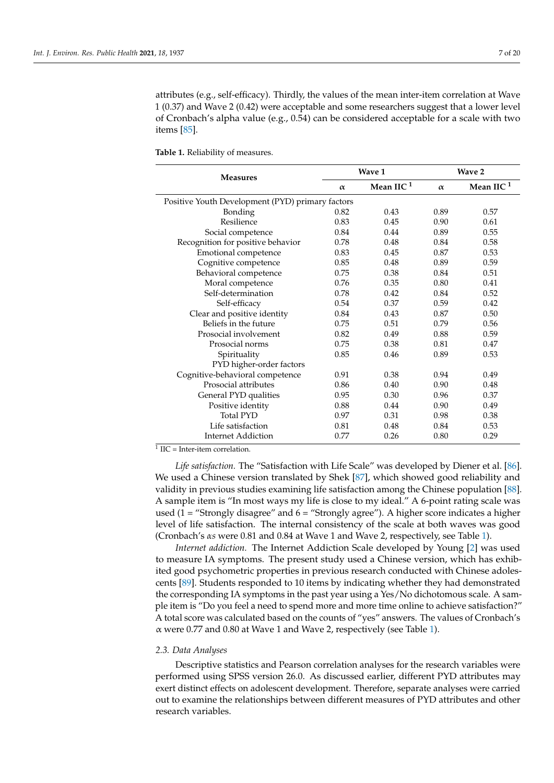attributes (e.g., self-efficacy). Thirdly, the values of the mean inter-item correlation at Wave 1 (0.37) and Wave 2 (0.42) were acceptable and some researchers suggest that a lower level of Cronbach's alpha value (e.g., 0.54) can be considered acceptable for a scale with two items [\[85\]](#page-18-13).

<span id="page-6-0"></span>**Table 1.** Reliability of measures.

| <b>Measures</b>                                  |          | Wave 1       |          | Wave 2       |
|--------------------------------------------------|----------|--------------|----------|--------------|
|                                                  | $\alpha$ | Mean IIC $1$ | $\alpha$ | Mean IIC $1$ |
| Positive Youth Development (PYD) primary factors |          |              |          |              |
| Bonding                                          | 0.82     | 0.43         | 0.89     | 0.57         |
| Resilience                                       | 0.83     | 0.45         | 0.90     | 0.61         |
| Social competence                                | 0.84     | 0.44         | 0.89     | 0.55         |
| Recognition for positive behavior                | 0.78     | 0.48         | 0.84     | 0.58         |
| Emotional competence                             | 0.83     | 0.45         | 0.87     | 0.53         |
| Cognitive competence                             | 0.85     | 0.48         | 0.89     | 0.59         |
| Behavioral competence                            | 0.75     | 0.38         | 0.84     | 0.51         |
| Moral competence                                 | 0.76     | 0.35         | 0.80     | 0.41         |
| Self-determination                               | 0.78     | 0.42         | 0.84     | 0.52         |
| Self-efficacy                                    | 0.54     | 0.37         | 0.59     | 0.42         |
| Clear and positive identity                      | 0.84     | 0.43         | 0.87     | 0.50         |
| Beliefs in the future                            | 0.75     | 0.51         | 0.79     | 0.56         |
| Prosocial involvement                            | 0.82     | 0.49         | 0.88     | 0.59         |
| Prosocial norms                                  | 0.75     | 0.38         | 0.81     | 0.47         |
| Spirituality                                     | 0.85     | 0.46         | 0.89     | 0.53         |
| PYD higher-order factors                         |          |              |          |              |
| Cognitive-behavioral competence                  | 0.91     | 0.38         | 0.94     | 0.49         |
| Prosocial attributes                             | 0.86     | 0.40         | 0.90     | 0.48         |
| General PYD qualities                            | 0.95     | 0.30         | 0.96     | 0.37         |
| Positive identity                                | 0.88     | 0.44         | 0.90     | 0.49         |
| <b>Total PYD</b>                                 | 0.97     | 0.31         | 0.98     | 0.38         |
| Life satisfaction                                | 0.81     | 0.48         | 0.84     | 0.53         |
| Internet Addiction                               | 0.77     | 0.26         | 0.80     | 0.29         |

 $1 \text{ IIC} = \text{Inter-item correlation}.$ 

*Life satisfaction.* The "Satisfaction with Life Scale" was developed by Diener et al. [\[86\]](#page-18-14). We used a Chinese version translated by Shek [\[87\]](#page-18-15), which showed good reliability and validity in previous studies examining life satisfaction among the Chinese population [\[88\]](#page-18-16). A sample item is "In most ways my life is close to my ideal." A 6-point rating scale was used (1 = "Strongly disagree" and  $6$  = "Strongly agree"). A higher score indicates a higher level of life satisfaction. The internal consistency of the scale at both waves was good (Cronbach's *αs* were 0.81 and 0.84 at Wave 1 and Wave 2, respectively, see Table [1\)](#page-6-0).

*Internet addiction.* The Internet Addiction Scale developed by Young [\[2\]](#page-15-1) was used to measure IA symptoms. The present study used a Chinese version, which has exhibited good psychometric properties in previous research conducted with Chinese adolescents [\[89\]](#page-18-17). Students responded to 10 items by indicating whether they had demonstrated the corresponding IA symptoms in the past year using a Yes/No dichotomous scale. A sample item is "Do you feel a need to spend more and more time online to achieve satisfaction?" A total score was calculated based on the counts of "yes" answers. The values of Cronbach's α were 0.77 and 0.80 at Wave 1 and Wave 2, respectively (see Table [1\)](#page-6-0).

## *2.3. Data Analyses*

Descriptive statistics and Pearson correlation analyses for the research variables were performed using SPSS version 26.0. As discussed earlier, different PYD attributes may exert distinct effects on adolescent development. Therefore, separate analyses were carried out to examine the relationships between different measures of PYD attributes and other research variables.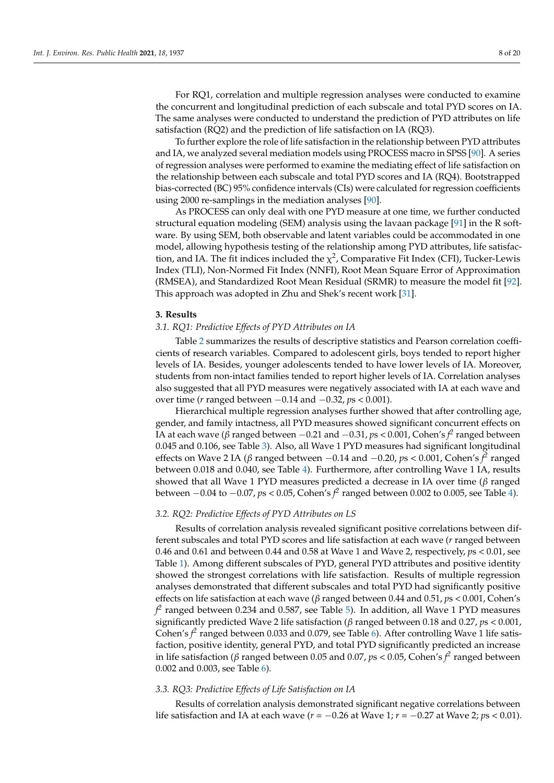For RQ1, correlation and multiple regression analyses were conducted to examine the concurrent and longitudinal prediction of each subscale and total PYD scores on IA. The same analyses were conducted to understand the prediction of PYD attributes on life satisfaction (RQ2) and the prediction of life satisfaction on IA (RQ3).

To further explore the role of life satisfaction in the relationship between PYD attributes and IA, we analyzed several mediation models using PROCESS macro in SPSS [\[90\]](#page-18-18). A series of regression analyses were performed to examine the mediating effect of life satisfaction on the relationship between each subscale and total PYD scores and IA (RQ4). Bootstrapped bias-corrected (BC) 95% confidence intervals (CIs) were calculated for regression coefficients using 2000 re-samplings in the mediation analyses [\[90\]](#page-18-18).

As PROCESS can only deal with one PYD measure at one time, we further conducted structural equation modeling (SEM) analysis using the lavaan package [\[91\]](#page-18-19) in the R software. By using SEM, both observable and latent variables could be accommodated in one model, allowing hypothesis testing of the relationship among PYD attributes, life satisfaction, and IA. The fit indices included the  $\chi^2$ , Comparative Fit Index (CFI), Tucker-Lewis Index (TLI), Non-Normed Fit Index (NNFI), Root Mean Square Error of Approximation (RMSEA), and Standardized Root Mean Residual (SRMR) to measure the model fit [\[92\]](#page-18-20). This approach was adopted in Zhu and Shek's recent work [\[31\]](#page-16-13).

#### **3. Results**

# *3.1. RQ1: Predictive Effects of PYD Attributes on IA*

Table [2](#page-9-0) summarizes the results of descriptive statistics and Pearson correlation coefficients of research variables. Compared to adolescent girls, boys tended to report higher levels of IA. Besides, younger adolescents tended to have lower levels of IA. Moreover, students from non-intact families tended to report higher levels of IA. Correlation analyses also suggested that all PYD measures were negatively associated with IA at each wave and over time (*r* ranged between −0.14 and −0.32, *p*s < 0.001).

Hierarchical multiple regression analyses further showed that after controlling age, gender, and family intactness, all PYD measures showed significant concurrent effects on IA at each wave (*β* ranged between −0.21 and −0.31, *p*s < 0.001, Cohen's *f 2* ranged between 0.045 and 0.106, see Table [3\)](#page-9-1). Also, all Wave 1 PYD measures had significant longitudinal effects on Wave 2 IA (*β* ranged between −0.14 and −0.20, *p*s < 0.001, Cohen's *f 2* ranged between 0.018 and 0.040, see Table [4\)](#page-10-0). Furthermore, after controlling Wave 1 IA, results showed that all Wave 1 PYD measures predicted a decrease in IA over time (*β* ranged between −0.04 to −0.07, *p*s < 0.05, Cohen's *f 2* ranged between 0.002 to 0.005, see Table [4\)](#page-10-0).

# *3.2. RQ2: Predictive Effects of PYD Attributes on LS*

Results of correlation analysis revealed significant positive correlations between different subscales and total PYD scores and life satisfaction at each wave (*r* ranged between 0.46 and 0.61 and between 0.44 and 0.58 at Wave 1 and Wave 2, respectively, *p*s < 0.01, see Table [1\)](#page-6-0). Among different subscales of PYD, general PYD attributes and positive identity showed the strongest correlations with life satisfaction. Results of multiple regression analyses demonstrated that different subscales and total PYD had significantly positive effects on life satisfaction at each wave (*β* ranged between 0.44 and 0.51, *p*s < 0.001, Cohen's  $f\!\!\!{}^2$  ranged between 0.234 and 0.587, see Table [5\)](#page-10-1). In addition, all Wave 1 PYD measures significantly predicted Wave 2 life satisfaction (*β* ranged between 0.18 and 0.27, *p*s < 0.001, Cohen's  $f^2$  ranged between 0.033 and 0.079, see Table [6\)](#page-11-0). After controlling Wave 1 life satisfaction, positive identity, general PYD, and total PYD significantly predicted an increase in life satisfaction (*β* ranged between 0.05 and 0.07, *p*s < 0.05, Cohen's *f 2* ranged between 0.002 and 0.003, see Table [6\)](#page-11-0).

## *3.3. RQ3: Predictive Effects of Life Satisfaction on IA*

Results of correlation analysis demonstrated significant negative correlations between life satisfaction and IA at each wave (*r* = −0.26 at Wave 1; *r* = −0.27 at Wave 2; *p*s < 0.01).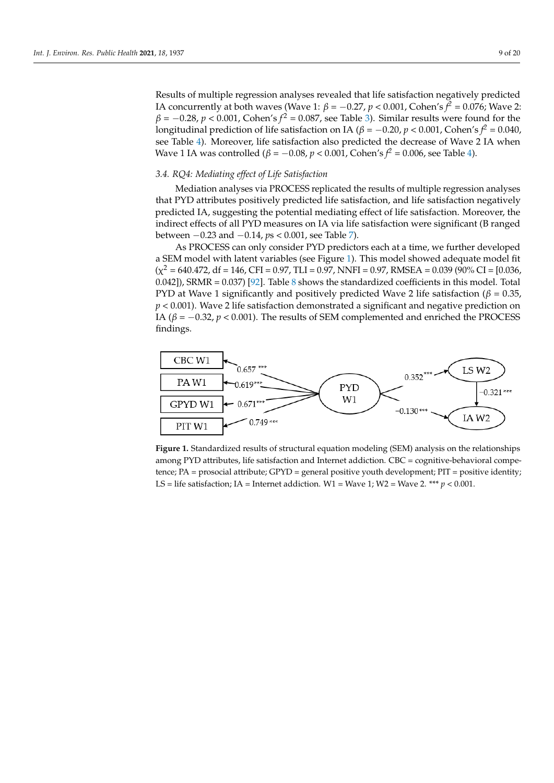Results of multiple regression analyses revealed that life satisfaction negatively predicted IA concurrently at both waves (Wave 1:  $\beta = -0.27$ ,  $p < 0.001$ , Cohen's  $\hat{f}^2 = 0.076$ ; Wave 2:  $\beta = -0.28$ ,  $p < 0.001$ , Cohen's  $f^2 = 0.087$ , see Table [3\)](#page-9-1). Similar results were found for the longitudinal prediction of life satisfaction on IA ( $\beta = -0.20$ ,  $p < 0.001$ , Cohen's  $\hat{f}^2 = 0.040$ , see Table [4\)](#page-10-0). Moreover, life satisfaction also predicted the decrease of Wave 2 IA when Wave 1 IA was controlled ( $\beta = -0.08$ ,  $p < 0.001$ , Cohen's  $f^2 = 0.006$ , see Table [4\)](#page-10-0).

Results of correlation analysis demonstrated significant negative correlations be-

# *3.4. RQ4: Mediating effect of Life Satisfaction 3.4. RQ4: Mediating effect of Life Satisfaction*

Mediation analyses via PROCESS replicated the results of multiple regression analyses that PYD attributes positively predicted life satisfaction, and life satisfaction negatively predicted IA, suggesting the potential mediating effect of life satisfaction. Moreover, the indirect effects of all PYD measures on IA via life satisfaction were significant (B ranged between −0.23 and −0.14, *p*s < 0.001, see Table 7). ranged between −0.23 and −0.14, *p*s < 0.001, se[e T](#page-11-1)able 7).

As PROCESS can only consider PYD predictors each at a time, we further developed As PROCESS can only consider PYD predictors each at a time, we further developed a SEM model with latent variables (see Figure 1). This model showed adequate model fit a SEM model with latent variables (see Figur[e 1](#page-8-0)). This model showed adequate model fit  $(\chi^2 = 640.472, df = 146, CFI = 0.97, TLI = 0.97, NNFI = 0.97, RMSEA = 0.039 (90\% CI = [0.036,$  $0.042$ ]), SRMR =  $0.037$  [\[92\]](#page-18-20). Ta[ble](#page-12-0) 8 shows the standardized coefficients in this model. Total PYD at Wave 1 significantly and positively predicted Wave 2 life satisfaction (*β* = 0.35*, p <* 0.001). Wave 2 life satisfaction demonstrated a significant and negative prediction on 0.35, *p <* 0.001). Wave 2 life satisfaction demonstrated a significant and negative prediction IA ( $β = -0.32, p < 0.001$ ). The results of SEM complemented and enriched the PROCESS findings. findings.

<span id="page-8-0"></span>

**Figure 1.** Standardized results of structural equation modeling (SEM) analysis on the relationships **Figure 1.** Standardized results of structural equation modeling (SEM) analysis on the relationships among PYD attributes, life satisfaction and Internet addiction. CBC = cognitive-behavioral compe-among PYD attributes, life satisfaction and Internet addiction. CBC = cognitive-behavioral competence; PA = prosocial attribute; GPYD = general positive youth development; PIT = positive identity; tence; PA = prosocial attribute; GPYD = general positive youth development; PIT = positive identity; LS = life satisfaction; IA = Internet addiction. W1 = Wave 1; W2 = Wave 2. \*\*\*  $p < 0.001$ .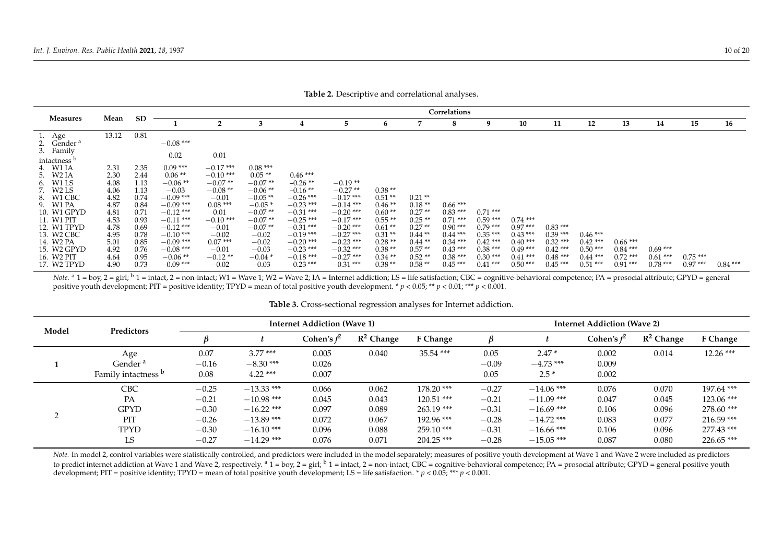|                               |              |              |                            |                     |                        |                            |                            |                      |                      | Correlations           |                        |            |           |           |           |           |           |           |
|-------------------------------|--------------|--------------|----------------------------|---------------------|------------------------|----------------------------|----------------------------|----------------------|----------------------|------------------------|------------------------|------------|-----------|-----------|-----------|-----------|-----------|-----------|
| <b>Measures</b>               | Mean         | <b>SD</b>    |                            | 2                   |                        |                            | 5                          | 6                    |                      | 8                      | 9                      | 10         | 11        | 12        | 13        | 14        | 15        | 16        |
| Age<br>L.                     | 13.12        | 0.81         |                            |                     |                        |                            |                            |                      |                      |                        |                        |            |           |           |           |           |           |           |
| Gender <sup>a</sup>           |              |              | $-0.08$ ***                |                     |                        |                            |                            |                      |                      |                        |                        |            |           |           |           |           |           |           |
| Family                        |              |              | 0.02                       | 0.01                |                        |                            |                            |                      |                      |                        |                        |            |           |           |           |           |           |           |
| intactness '                  |              |              |                            |                     |                        |                            |                            |                      |                      |                        |                        |            |           |           |           |           |           |           |
| W1 IA                         | 2.31         | 2.35         | $0.09***$                  | $-0.17$ ***         | $0.08***$              |                            |                            |                      |                      |                        |                        |            |           |           |           |           |           |           |
| W <sub>2</sub> IA             | 2.30         | 2.44         | $0.06**$                   | $-0.10$ ***         | $0.05**$               | $0.46***$                  |                            |                      |                      |                        |                        |            |           |           |           |           |           |           |
| W1 LS                         | 4.08         | 1.13         | $-0.06$ **                 | $-0.07**$           | $-0.07**$              | $-0.26$ **                 | $-0.19**$                  |                      |                      |                        |                        |            |           |           |           |           |           |           |
| W <sub>2</sub> L <sub>S</sub> | 4.06         | 1.13         | $-0.03$                    | $-0.08**$           | $-0.06**$              | $-0.16$ **                 | $-0.27**$                  | $0.38**$             |                      |                        |                        |            |           |           |           |           |           |           |
| W1 CBC                        | 4.82         | 0.74         | $-0.09$ ***                | $-0.01$             | $-0.05**$              | $-0.26$ ***                | $-0.17***$                 | $0.51**$             | $0.21**$             |                        |                        |            |           |           |           |           |           |           |
| W1 PA                         | 4.87         | 0.84         | $-0.09$ ***                | $0.08***$           | $-0.05*$               | $-0.23$ ***                | $-0.14$ ***                | $0.46**$             | $0.18**$             | $0.66***$              |                        |            |           |           |           |           |           |           |
| 10. W1 GPYD<br>11. W1 PIT     | 4.81<br>4.53 | 0.71         | $-0.12$ ***<br>$-0.11$ *** | 0.01<br>$-0.10$ *** | $-0.07**$<br>$-0.07**$ | $-0.31$ ***<br>$-0.25$ *** | $-0.20$ ***<br>$-0.17$ *** | $0.60**$<br>$0.55**$ | $0.27**$<br>$0.25**$ | $0.83***$<br>$0.71***$ | $0.71***$<br>$0.59***$ | $0.74$ *** |           |           |           |           |           |           |
| 12. W1 TPYD                   | 4.78         | 0.93<br>0.69 | $-0.12$ ***                | $-0.01$             | $-0.07**$              | $-0.31$ ***                | $-0.20$ ***                | $0.61**$             | $0.27**$             | $0.90***$              | $0.79***$              | $0.97***$  | $0.83***$ |           |           |           |           |           |
| 13. W2 CBC                    | 4.95         | 0.78         | $-0.10$ ***                | $-0.02$             | $-0.02$                | $-0.19$ ***                | $-0.27$ ***                | $0.31**$             | $0.44**$             | $0.44***$              | $0.35***$              | $0.43***$  | $0.39***$ | $0.46***$ |           |           |           |           |
| 14. W2 PA                     | 5.01         | 0.85         | $-0.09$ ***                | $0.07***$           | $-0.02$                | $-0.20$ ***                | $-0.23$ ***                | $0.28**$             | $0.44**$             | $0.34***$              | $0.42***$              | $0.40***$  | $0.32***$ | $0.42***$ | $0.66***$ |           |           |           |
| 15. W2 GPYD                   | 4.92         | 0.76         | $-0.08$ ***                | $-0.01$             | $-0.03$                | $-0.23$ ***                | $-0.32$ ***                | $0.38**$             | $0.57**$             | $0.43***$              | $0.38***$              | $0.49***$  | $0.42***$ | $0.50***$ | $0.84***$ | $0.69***$ |           |           |
| 16. W2 PIT                    | 4.64         | 0.95         | $-0.06**$                  | $-0.12**$           | $-0.04*$               | $-0.18$ ***                | $-0.27$ ***                | $0.34**$             | $0.52**$             | $0.38***$              | $0.30***$              | $0.41***$  | $0.48***$ | $0.44***$ | $0.72***$ | $0.61***$ | $0.75***$ |           |
| 17. W2 TPYD                   | 4.90         | 0.73         | $-0.09$ ***                | $-0.02$             | $-0.03$                | $-0.23$ ***                | $-0.31$ ***                | $0.38**$             | $0.58**$             | $0.45***$              | $0.41***$              | $0.50***$  | $0.45***$ | $0.51***$ | $0.91***$ | $0.78***$ | $0.97***$ | $0.84***$ |

**Table 2.** Descriptive and correlational analyses.

*Note.* a 1 = boy, 2 = girl; <sup>b</sup> 1 = intact, 2 = non-intact; W1 = Wave 1; W2 = Wave 2; IA = Internet addiction; LS = life satisfaction; CBC = cognitive-behavioral competence; PA = prosocial attribute; GPYD = general positive youth development; PIT = positive identity; TPYD = mean of total positive youth development. \* *p* < 0.05; \*\* *p* < 0.01; \*\*\* *p* < 0.001.

<span id="page-9-0"></span>

| Model | Predictors                                                   | <b>Internet Addiction (Wave 1)</b> |                                             |                         |                         |                                             |                               | <b>Internet Addiction (Wave 2)</b>           |                         |                         |                                              |  |  |
|-------|--------------------------------------------------------------|------------------------------------|---------------------------------------------|-------------------------|-------------------------|---------------------------------------------|-------------------------------|----------------------------------------------|-------------------------|-------------------------|----------------------------------------------|--|--|
|       |                                                              |                                    |                                             | Cohen's $\mathit{f}^2$  | $R^2$ Change            | F Change                                    |                               |                                              | Cohen's $f^2$           | $R^2$ Change            | F Change                                     |  |  |
|       | Age<br>Gender <sup>a</sup><br>Family intactness <sup>b</sup> | 0.07<br>$-0.16$<br>0.08            | $3.77***$<br>$-8.30$ ***<br>$4.22***$       | 0.005<br>0.026<br>0.007 | 0.040                   | $35.54$ ***                                 | 0.05<br>$-0.09$<br>0.05       | $2.47*$<br>$-4.73$ ***<br>$2.5*$             | 0.002<br>0.009<br>0.002 | 0.014                   | $12.26$ ***                                  |  |  |
|       | <b>CBC</b>                                                   | $-0.25$                            | $-13.33$ ***                                | 0.066                   | 0.062                   | $178.20$ ***                                | $-0.27$                       | $-14.06$ ***                                 | 0.076                   | 0.070                   | $197.64$ ***                                 |  |  |
|       | PA<br><b>GPYD</b>                                            | $-0.21$<br>$-0.30$                 | $-10.98$ ***<br>$-16.22$ ***                | 0.045<br>0.097          | 0.043<br>0.089          | $120.51$ ***<br>$263.19***$                 | $-0.21$<br>$-0.31$            | $-11.09$ ***<br>$-16.69$ ***                 | 0.047<br>0.106          | 0.045<br>0.096          | $123.06$ ***<br>$278.60$ ***                 |  |  |
|       | <b>PIT</b><br>TPYD<br>LS                                     | $-0.26$<br>$-0.30$<br>$-0.27$      | $-13.89$ ***<br>$-16.10***$<br>$-14.29$ *** | 0.072<br>0.096<br>0.076 | 0.067<br>0.088<br>0.071 | $192.96$ ***<br>$259.10***$<br>$204.25$ *** | $-0.28$<br>$-0.31$<br>$-0.28$ | $-14.72$ ***<br>$-16.66$ ***<br>$-15.05$ *** | 0.083<br>0.106<br>0.087 | 0.077<br>0.096<br>0.080 | $216.59$ ***<br>$277.43$ ***<br>$226.65$ *** |  |  |

#### **Table 3.** Cross-sectional regression analyses for Internet addiction.

<span id="page-9-1"></span>*Note*. In model 2, control variables were statistically controlled, and predictors were included in the model separately; measures of positive youth development at Wave 1 and Wave 2 were included as predictors to predict internet addiction at Wave 1 and Wave 2, respectively.  $a_1 = b_0y$ ,  $2 = g\text{ in}$ ;  $b_1 = \text{intact}$ ,  $2 = \text{non-intact}$ ; CBC = cognitive-behavioral competence; PA = prosocial attribute; GPYD = general positive youth development; PIT = positive identity; TPYD = mean of total positive youth development; LS = life satisfaction. \* *p* < 0.05; \*\*\* *p* < 0.001.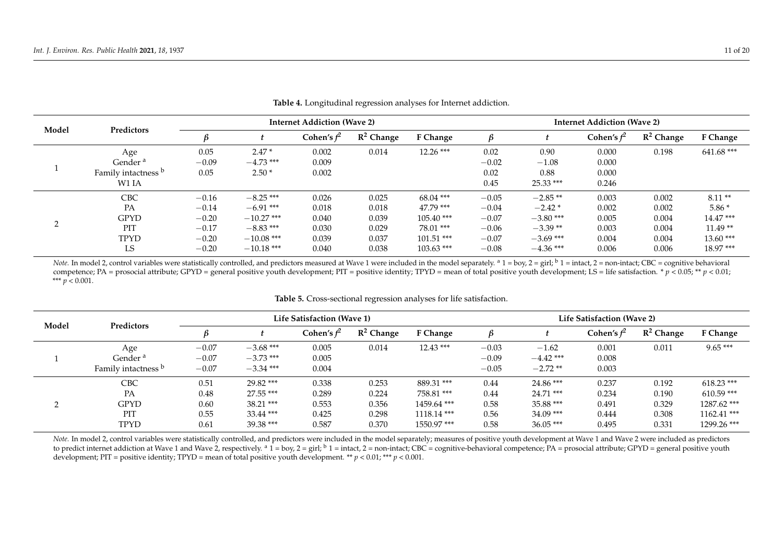| Model      | Predictors          | <b>Internet Addiction (Wave 2)</b> |              |               |              |              |         | <b>Internet Addiction (Wave 2)</b> |               |              |              |  |  |  |
|------------|---------------------|------------------------------------|--------------|---------------|--------------|--------------|---------|------------------------------------|---------------|--------------|--------------|--|--|--|
|            |                     | ĸ                                  |              | Cohen's $f^2$ | $R^2$ Change | F Change     |         |                                    | Cohen's $f^2$ | $R^2$ Change | F Change     |  |  |  |
|            | Age                 | 0.05                               | $2.47*$      | 0.002         | 0.014        | $12.26$ ***  | 0.02    | 0.90                               | 0.000         | 0.198        | $641.68$ *** |  |  |  |
|            | Gender <sup>a</sup> | $-0.09$                            | $-4.73$ ***  | 0.009         |              |              | $-0.02$ | $-1.08$                            | 0.000         |              |              |  |  |  |
|            | Family intactness b | 0.05                               | $2.50*$      | 0.002         |              |              | 0.02    | 0.88                               | 0.000         |              |              |  |  |  |
|            | W1 IA               |                                    |              |               |              |              | 0.45    | $25.33$ ***                        | 0.246         |              |              |  |  |  |
|            | <b>CBC</b>          | $-0.16$                            | $-8.25$ ***  | 0.026         | 0.025        | $68.04$ ***  | $-0.05$ | $-2.85**$                          | 0.003         | 0.002        | $8.11**$     |  |  |  |
|            | PA                  | $-0.14$                            | $-6.91***$   | 0.018         | 0.018        | $47.79$ ***  | $-0.04$ | $-2.42*$                           | 0.002         | 0.002        | $5.86*$      |  |  |  |
| ◠          | <b>GPYD</b>         | $-0.20$                            | $-10.27$ *** | 0.040         | 0.039        | $105.40$ *** | $-0.07$ | $-3.80$ ***                        | 0.005         | 0.004        | $14.47***$   |  |  |  |
| $\sqrt{2}$ | PIT                 | $-0.17$                            | $-8.83***$   | 0.030         | 0.029        | $78.01$ ***  | $-0.06$ | $-3.39**$                          | 0.003         | 0.004        | $11.49**$    |  |  |  |
|            | <b>TPYD</b>         | $-0.20$                            | $-10.08$ *** | 0.039         | 0.037        | $101.51$ *** | $-0.07$ | $-3.69$ ***                        | 0.004         | 0.004        | $13.60***$   |  |  |  |
|            | LS                  | $-0.20$                            | $-10.18$ *** | 0.040         | 0.038        | $103.63$ *** | $-0.08$ | $-4.36$ ***                        | 0.006         | 0.006        | $18.97***$   |  |  |  |

**Table 4.** Longitudinal regression analyses for Internet addiction.

*Note.* In model 2, control variables were statistically controlled, and predictors measured at Wave 1 were included in the model separately. <sup>a</sup> 1 = boy, 2 = girl; <sup>b</sup> 1 = intact, 2 = non-intact; CBC = cognitive behaviora competence; PA = prosocial attribute; GPYD = general positive youth development; PIT = positive identity; TPYD = mean of total positive youth development; LS = life satisfaction. \* *p* < 0.05; \*\* *p* < 0.01; \*\*\* *p* < 0.001.

<span id="page-10-0"></span>

| Model | Predictors                     | Life Satisfaction (Wave 1) |             |                          |              |               |         | Life Satisfaction (Wave 2) |                          |              |               |  |  |
|-------|--------------------------------|----------------------------|-------------|--------------------------|--------------|---------------|---------|----------------------------|--------------------------|--------------|---------------|--|--|
|       |                                |                            |             | Cohen's $\mathit{f}^{2}$ | $R^2$ Change | F Change      |         |                            | Cohen's $\mathit{f}^{2}$ | $R^2$ Change | F Change      |  |  |
|       | Age                            | $-0.07$                    | $-3.68$ *** | 0.005                    | 0.014        | $12.43$ ***   | $-0.03$ | $-1.62$                    | 0.001                    | 0.011        | $9.65***$     |  |  |
|       | Gender <sup>a</sup>            | $-0.07$                    | $-3.73$ *** | 0.005                    |              |               | $-0.09$ | $-4.42$ ***                | 0.008                    |              |               |  |  |
|       | Family intactness <sup>b</sup> | $-0.07$                    | $-3.34$ *** | 0.004                    |              |               | $-0.05$ | $-2.72**$                  | 0.003                    |              |               |  |  |
|       | <b>CBC</b>                     | 0.51                       | $29.82***$  | 0.338                    | 0.253        | 889.31 ***    | 0.44    | $24.86***$                 | 0.237                    | 0.192        | $618.23$ ***  |  |  |
|       | PA                             | 0.48                       | $27.55$ *** | 0.289                    | 0.224        | 758.81 ***    | 0.44    | $24.71$ ***                | 0.234                    | 0.190        | $610.59$ ***  |  |  |
| ∠     | <b>GPYD</b>                    | 0.60                       | $38.21***$  | 0.553                    | 0.356        | 1459.64 ***   | 0.58    | $35.88***$                 | 0.491                    | 0.329        | 1287.62 ***   |  |  |
|       | PIT                            | 0.55                       | $33.44$ *** | 0.425                    | 0.298        | $1118.14$ *** | 0.56    | $34.09$ ***                | 0.444                    | 0.308        | $1162.41$ *** |  |  |
|       | <b>TPYD</b>                    | 0.61                       | $39.38***$  | 0.587                    | 0.370        | 1550.97***    | 0.58    | $36.05***$                 | 0.495                    | 0.331        | 1299.26 ***   |  |  |

**Table 5.** Cross-sectional regression analyses for life satisfaction.

<span id="page-10-1"></span>*Note.* In model 2, control variables were statistically controlled, and predictors were included in the model separately; measures of positive youth development at Wave 1 and Wave 2 were included as predictors to predict internet addiction at Wave 1 and Wave 2, respectively.  $a_1 = boy$ ,  $2 = girl$ ;  $b_1 = intact$ ,  $2 = non-intact$ ; CBC = cognitive-behavioral competence; PA = prosocial attribute; GPYD = general positive youth development; PIT = positive identity; TPYD = mean of total positive youth development. \*\* *p* < 0.01; \*\*\* *p* < 0.001.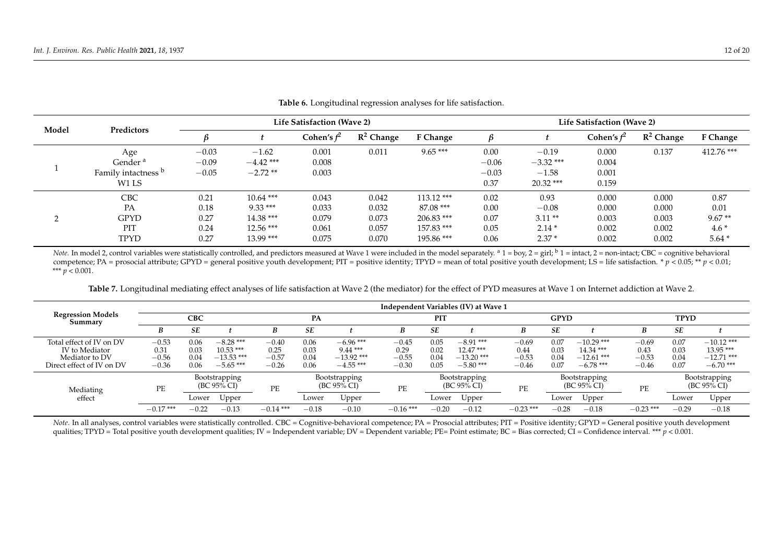| Model | Predictors          | Life Satisfaction (Wave 2) |             |               |              |              |         | Life Satisfaction (Wave 2) |               |              |              |  |  |
|-------|---------------------|----------------------------|-------------|---------------|--------------|--------------|---------|----------------------------|---------------|--------------|--------------|--|--|
|       |                     |                            |             | Cohen's $f^2$ | $R^2$ Change | F Change     |         |                            | Cohen's $f^2$ | $R^2$ Change | F Change     |  |  |
|       | Age                 | $-0.03$                    | $-1.62$     | 0.001         | 0.011        | $9.65***$    | 0.00    | $-0.19$                    | 0.000         | 0.137        | $412.76$ *** |  |  |
|       | Gender <sup>a</sup> | $-0.09$                    | $-4.42$ *** | 0.008         |              |              | $-0.06$ | $-3.32$ ***                | 0.004         |              |              |  |  |
|       | Family intactness b | $-0.05$                    | $-2.72**$   | 0.003         |              |              | $-0.03$ | $-1.58$                    | 0.001         |              |              |  |  |
|       | W1 LS               |                            |             |               |              |              | 0.37    | $20.32$ ***                | 0.159         |              |              |  |  |
|       | CBC                 | 0.21                       | $10.64***$  | 0.043         | 0.042        | $113.12$ *** | 0.02    | 0.93                       | 0.000         | 0.000        | 0.87         |  |  |
|       | PA                  | 0.18                       | $9.33***$   | 0.033         | 0.032        | $87.08***$   | 0.00    | $-0.08$                    | 0.000         | 0.000        | 0.01         |  |  |
| ∸     | <b>GPYD</b>         | 0.27                       | $14.38***$  | 0.079         | 0.073        | $206.83$ *** | 0.07    | $3.11**$                   | 0.003         | 0.003        | $9.67**$     |  |  |
|       | <b>PIT</b>          | 0.24                       | $12.56***$  | 0.061         | 0.057        | 157.83 ***   | 0.05    | $2.14*$                    | 0.002         | 0.002        | $4.6*$       |  |  |
|       | <b>TPYD</b>         | 0.27                       | $13.99***$  | 0.075         | 0.070        | 195.86 ***   | 0.06    | $2.37*$                    | 0.002         | 0.002        | $5.64*$      |  |  |

## **Table 6.** Longitudinal regression analyses for life satisfaction.

*Note.* In model 2, control variables were statistically controlled, and predictors measured at Wave 1 were included in the model separately.  $^{\text{a}}$  1 = boy, 2 = girl;  $^{\text{b}}$  1 = intact, 2 = non-intact; CBC = cognitiv competence; PA = prosocial attribute; GPYD = general positive youth development; PIT = positive identity; TPYD = mean of total positive youth development; LS = life satisfaction. \*  $p < 0.05$ ; \*\*  $p < 0.01$ ; \*\*\* *p* < 0.001.

**Table 7.** Longitudinal mediating effect analyses of life satisfaction at Wave 2 (the mediator) for the effect of PYD measures at Wave 1 on Internet addiction at Wave 2.

<span id="page-11-0"></span>

|                                                                                           | Independent Variables (IV) at Wave 1  |                              |                                                         |                                       |                              |                                                         |                                       |                              |                                                         |                                       |                              |                                                           |                                       |                              |                                                           |
|-------------------------------------------------------------------------------------------|---------------------------------------|------------------------------|---------------------------------------------------------|---------------------------------------|------------------------------|---------------------------------------------------------|---------------------------------------|------------------------------|---------------------------------------------------------|---------------------------------------|------------------------------|-----------------------------------------------------------|---------------------------------------|------------------------------|-----------------------------------------------------------|
| <b>Regression Models</b><br>Summary                                                       | <b>CBC</b>                            |                              |                                                         |                                       | PA                           |                                                         |                                       | PIT                          |                                                         |                                       | <b>GPYD</b>                  |                                                           | <b>TPYD</b>                           |                              |                                                           |
|                                                                                           | B                                     | SE                           |                                                         | B                                     | <b>SE</b>                    |                                                         | B                                     | <b>SE</b>                    |                                                         | B                                     | <b>SE</b>                    |                                                           | B                                     | SE                           |                                                           |
| Total effect of IV on DV<br>IV to Mediator<br>Mediator to DV<br>Direct effect of IV on DV | $-0.53$<br>0.31<br>$-0.56$<br>$-0.36$ | 0.06<br>0.03<br>0.04<br>0.06 | $-8.28***$<br>$10.53***$<br>$-13.53$ ***<br>$-5.65$ *** | $-0.40$<br>0.25<br>$-0.57$<br>$-0.26$ | 0.06<br>0.03<br>0.04<br>0.06 | $-6.96$ ***<br>$9.44***$<br>$-13.92$ ***<br>$-4.55$ *** | $-0.45$<br>0.29<br>$-0.55$<br>$-0.30$ | 0.05<br>0.02<br>0.04<br>0.05 | $-8.91***$<br>$12.47***$<br>$-13.20$ ***<br>$-5.80$ *** | $-0.69$<br>0.44<br>$-0.53$<br>$-0.46$ | 0.07<br>0.03<br>0.04<br>0.07 | $-10.29$ ***<br>$14.34***$<br>$-12.61$ ***<br>$-6.78$ *** | $-0.69$<br>0.43<br>$-0.53$<br>$-0.46$ | 0.07<br>0.03<br>0.04<br>0.07 | $-10.12$ ***<br>$13.95***$<br>$-12.71$ ***<br>$-6.70$ *** |
| Mediating<br>effect                                                                       | PE                                    |                              | Bootstrapping<br>$(BC 95\% CI)$                         | PE                                    |                              | <b>Bootstrapping</b><br>(BC 95% CI)                     | <b>PE</b>                             |                              | Bootstrapping<br>$(BC 95\% CI)$                         | PE                                    |                              | Bootstrapping<br>$(BC 95\% CI)$                           | PE                                    |                              | Bootstrapping<br>$(BC 95\% CI)$                           |
|                                                                                           |                                       | Lower                        | Upper                                                   |                                       | Lower                        | Upper                                                   |                                       | Lower                        | Upper                                                   |                                       | Lower                        | Upper                                                     |                                       | Lower                        | Upper                                                     |
|                                                                                           | $-0.17$ ***                           | $-0.22$                      | $-0.13$                                                 | $-0.14$ ***                           | $-0.18$                      | $-0.10$                                                 | $-0.16$ ***                           | $-0.20$                      | $-0.12$                                                 | $-0.23$ ***                           | $-0.28$                      | $-0.18$                                                   | $-0.23$ ***                           | $-0.29$                      | $-0.18$                                                   |

<span id="page-11-1"></span>*Note*. In all analyses, control variables were statistically controlled. CBC = Cognitive-behavioral competence; PA = Prosocial attributes; PIT = Positive identity; GPYD = General positive youth development qualities; TPYD = Total positive youth development qualities; IV = Independent variable; DV = Dependent variable; PE= Point estimate; BC = Bias corrected; CI = Confidence interval. \*\*\* *p* < 0.001.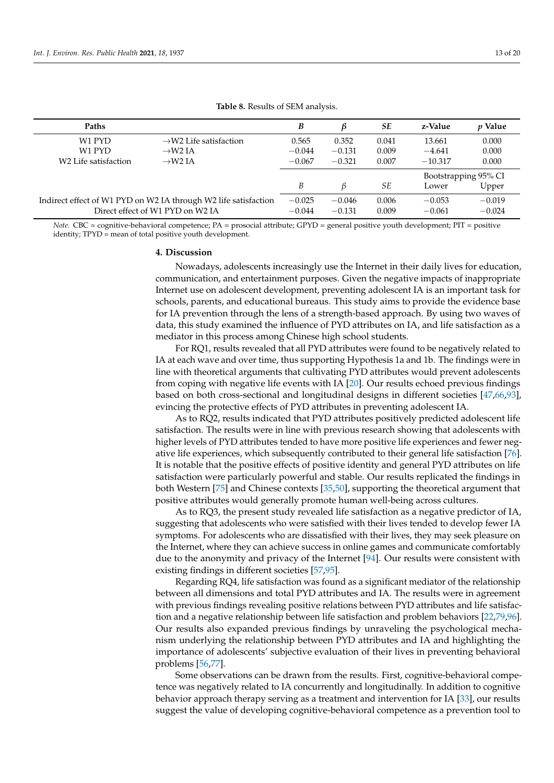<span id="page-12-0"></span>

| Paths                                                           |                                    | B        | B        | SЕ                   | z-Value   | <i>p</i> Value |
|-----------------------------------------------------------------|------------------------------------|----------|----------|----------------------|-----------|----------------|
| W <sub>1</sub> PYD                                              | $\rightarrow$ W2 Life satisfaction | 0.565    | 0.352    | 0.041                | 13.661    | 0.000          |
| W <sub>1</sub> PYD                                              | $\rightarrow$ W2 IA                | $-0.044$ | $-0.131$ | 0.009                | $-4.641$  | 0.000          |
| W <sub>2</sub> Life satisfaction                                | $\rightarrow$ W2 JA                | $-0.067$ | $-0.321$ | 0.007                | $-10.317$ | 0.000          |
|                                                                 |                                    |          |          | Bootstrapping 95% CI |           |                |
|                                                                 |                                    | B        | ß        | SE                   | Lower     | Upper          |
| Indirect effect of W1 PYD on W2 IA through W2 life satisfaction | $-0.025$                           | $-0.046$ | 0.006    | $-0.053$             | $-0.019$  |                |
|                                                                 | Direct effect of W1 PYD on W2 IA   | $-0.044$ | $-0.131$ | 0.009                | $-0.061$  | $-0.024$       |

**Table 8.** Results of SEM analysis.

*Note.* CBC = cognitive-behavioral competence; PA = prosocial attribute; GPYD = general positive youth development; PIT = positive identity; TPYD = mean of total positive youth development.

#### **4. Discussion**

Nowadays, adolescents increasingly use the Internet in their daily lives for education, communication, and entertainment purposes. Given the negative impacts of inappropriate Internet use on adolescent development, preventing adolescent IA is an important task for schools, parents, and educational bureaus. This study aims to provide the evidence base for IA prevention through the lens of a strength-based approach. By using two waves of data, this study examined the influence of PYD attributes on IA, and life satisfaction as a mediator in this process among Chinese high school students.

For RQ1, results revealed that all PYD attributes were found to be negatively related to IA at each wave and over time, thus supporting Hypothesis 1a and 1b. The findings were in line with theoretical arguments that cultivating PYD attributes would prevent adolescents from coping with negative life events with IA [\[20\]](#page-16-5). Our results echoed previous findings based on both cross-sectional and longitudinal designs in different societies [\[47,](#page-17-4)[66,](#page-17-23)[93\]](#page-18-21), evincing the protective effects of PYD attributes in preventing adolescent IA.

As to RQ2, results indicated that PYD attributes positively predicted adolescent life satisfaction. The results were in line with previous research showing that adolescents with higher levels of PYD attributes tended to have more positive life experiences and fewer negative life experiences, which subsequently contributed to their general life satisfaction [\[76\]](#page-18-4). It is notable that the positive effects of positive identity and general PYD attributes on life satisfaction were particularly powerful and stable. Our results replicated the findings in both Western [\[75\]](#page-18-3) and Chinese contexts [\[35,](#page-16-17)[50\]](#page-17-7), supporting the theoretical argument that positive attributes would generally promote human well-being across cultures.

As to RQ3, the present study revealed life satisfaction as a negative predictor of IA, suggesting that adolescents who were satisfied with their lives tended to develop fewer IA symptoms. For adolescents who are dissatisfied with their lives, they may seek pleasure on the Internet, where they can achieve success in online games and communicate comfortably due to the anonymity and privacy of the Internet [\[94\]](#page-18-22). Our results were consistent with existing findings in different societies [\[57](#page-17-14)[,95\]](#page-18-23).

Regarding RQ4, life satisfaction was found as a significant mediator of the relationship between all dimensions and total PYD attributes and IA. The results were in agreement with previous findings revealing positive relations between PYD attributes and life satisfaction and a negative relationship between life satisfaction and problem behaviors [\[22](#page-16-7)[,79](#page-18-7)[,96\]](#page-18-24). Our results also expanded previous findings by unraveling the psychological mechanism underlying the relationship between PYD attributes and IA and highlighting the importance of adolescents' subjective evaluation of their lives in preventing behavioral problems [\[56,](#page-17-13)[77\]](#page-18-5).

Some observations can be drawn from the results. First, cognitive-behavioral competence was negatively related to IA concurrently and longitudinally. In addition to cognitive behavior approach therapy serving as a treatment and intervention for IA [\[33\]](#page-16-15), our results suggest the value of developing cognitive-behavioral competence as a prevention tool to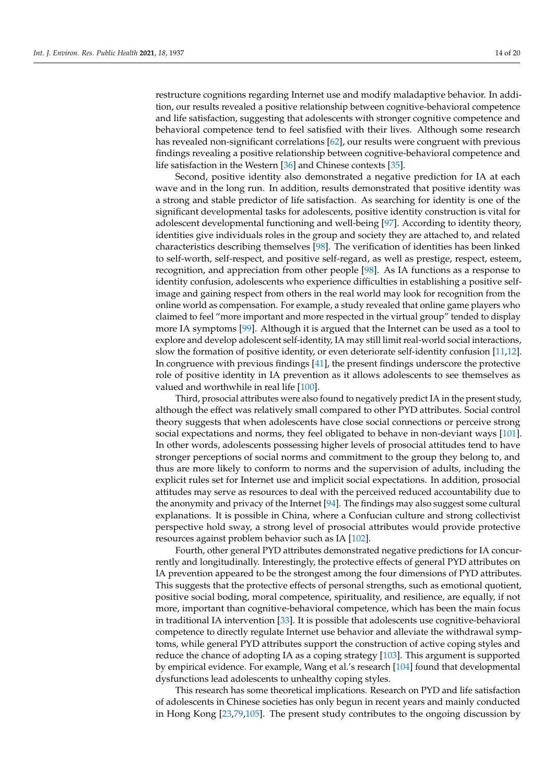restructure cognitions regarding Internet use and modify maladaptive behavior. In addition, our results revealed a positive relationship between cognitive-behavioral competence and life satisfaction, suggesting that adolescents with stronger cognitive competence and behavioral competence tend to feel satisfied with their lives. Although some research has revealed non-significant correlations [\[62\]](#page-17-19), our results were congruent with previous findings revealing a positive relationship between cognitive-behavioral competence and life satisfaction in the Western [\[36\]](#page-16-18) and Chinese contexts [\[35\]](#page-16-17).

Second, positive identity also demonstrated a negative prediction for IA at each wave and in the long run. In addition, results demonstrated that positive identity was a strong and stable predictor of life satisfaction. As searching for identity is one of the significant developmental tasks for adolescents, positive identity construction is vital for adolescent developmental functioning and well-being [\[97\]](#page-18-25). According to identity theory, identities give individuals roles in the group and society they are attached to, and related characteristics describing themselves [\[98\]](#page-18-26). The verification of identities has been linked to self-worth, self-respect, and positive self-regard, as well as prestige, respect, esteem, recognition, and appreciation from other people [\[98\]](#page-18-26). As IA functions as a response to identity confusion, adolescents who experience difficulties in establishing a positive selfimage and gaining respect from others in the real world may look for recognition from the online world as compensation. For example, a study revealed that online game players who claimed to feel "more important and more respected in the virtual group" tended to display more IA symptoms [\[99\]](#page-18-27). Although it is argued that the Internet can be used as a tool to explore and develop adolescent self-identity, IA may still limit real-world social interactions, slow the formation of positive identity, or even deteriorate self-identity confusion [\[11,](#page-15-9)[12\]](#page-15-10). In congruence with previous findings [\[41\]](#page-16-23), the present findings underscore the protective role of positive identity in IA prevention as it allows adolescents to see themselves as valued and worthwhile in real life [\[100\]](#page-18-28).

Third, prosocial attributes were also found to negatively predict IA in the present study, although the effect was relatively small compared to other PYD attributes. Social control theory suggests that when adolescents have close social connections or perceive strong social expectations and norms, they feel obligated to behave in non-deviant ways [\[101\]](#page-18-29). In other words, adolescents possessing higher levels of prosocial attitudes tend to have stronger perceptions of social norms and commitment to the group they belong to, and thus are more likely to conform to norms and the supervision of adults, including the explicit rules set for Internet use and implicit social expectations. In addition, prosocial attitudes may serve as resources to deal with the perceived reduced accountability due to the anonymity and privacy of the Internet [\[94\]](#page-18-22). The findings may also suggest some cultural explanations. It is possible in China, where a Confucian culture and strong collectivist perspective hold sway, a strong level of prosocial attributes would provide protective resources against problem behavior such as IA [\[102\]](#page-18-30).

Fourth, other general PYD attributes demonstrated negative predictions for IA concurrently and longitudinally. Interestingly, the protective effects of general PYD attributes on IA prevention appeared to be the strongest among the four dimensions of PYD attributes. This suggests that the protective effects of personal strengths, such as emotional quotient, positive social boding, moral competence, spirituality, and resilience, are equally, if not more, important than cognitive-behavioral competence, which has been the main focus in traditional IA intervention [\[33\]](#page-16-15). It is possible that adolescents use cognitive-behavioral competence to directly regulate Internet use behavior and alleviate the withdrawal symptoms, while general PYD attributes support the construction of active coping styles and reduce the chance of adopting IA as a coping strategy [\[103\]](#page-18-31). This argument is supported by empirical evidence. For example, Wang et al.'s research [\[104\]](#page-19-0) found that developmental dysfunctions lead adolescents to unhealthy coping styles.

This research has some theoretical implications. Research on PYD and life satisfaction of adolescents in Chinese societies has only begun in recent years and mainly conducted in Hong Kong [\[23](#page-16-26)[,79](#page-18-7)[,105\]](#page-19-1). The present study contributes to the ongoing discussion by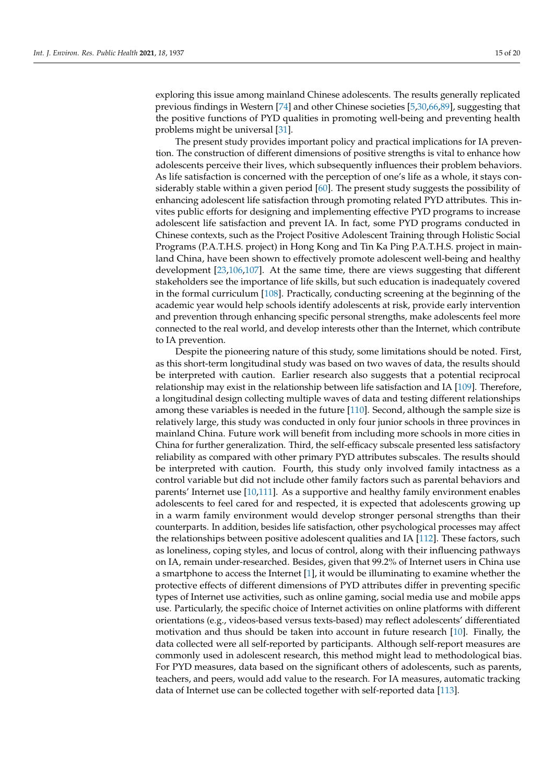exploring this issue among mainland Chinese adolescents. The results generally replicated previous findings in Western [\[74\]](#page-18-2) and other Chinese societies [\[5,](#page-15-4)[30,](#page-16-25)[66](#page-17-23)[,89\]](#page-18-17), suggesting that the positive functions of PYD qualities in promoting well-being and preventing health problems might be universal [\[31\]](#page-16-13).

The present study provides important policy and practical implications for IA prevention. The construction of different dimensions of positive strengths is vital to enhance how adolescents perceive their lives, which subsequently influences their problem behaviors. As life satisfaction is concerned with the perception of one's life as a whole, it stays considerably stable within a given period [\[60\]](#page-17-17). The present study suggests the possibility of enhancing adolescent life satisfaction through promoting related PYD attributes. This invites public efforts for designing and implementing effective PYD programs to increase adolescent life satisfaction and prevent IA. In fact, some PYD programs conducted in Chinese contexts, such as the Project Positive Adolescent Training through Holistic Social Programs (P.A.T.H.S. project) in Hong Kong and Tin Ka Ping P.A.T.H.S. project in mainland China, have been shown to effectively promote adolescent well-being and healthy development [\[23](#page-16-26)[,106](#page-19-2)[,107\]](#page-19-3). At the same time, there are views suggesting that different stakeholders see the importance of life skills, but such education is inadequately covered in the formal curriculum [\[108\]](#page-19-4). Practically, conducting screening at the beginning of the academic year would help schools identify adolescents at risk, provide early intervention and prevention through enhancing specific personal strengths, make adolescents feel more connected to the real world, and develop interests other than the Internet, which contribute to IA prevention.

Despite the pioneering nature of this study, some limitations should be noted. First, as this short-term longitudinal study was based on two waves of data, the results should be interpreted with caution. Earlier research also suggests that a potential reciprocal relationship may exist in the relationship between life satisfaction and IA [\[109\]](#page-19-5). Therefore, a longitudinal design collecting multiple waves of data and testing different relationships among these variables is needed in the future [\[110\]](#page-19-6). Second, although the sample size is relatively large, this study was conducted in only four junior schools in three provinces in mainland China. Future work will benefit from including more schools in more cities in China for further generalization. Third, the self-efficacy subscale presented less satisfactory reliability as compared with other primary PYD attributes subscales. The results should be interpreted with caution. Fourth, this study only involved family intactness as a control variable but did not include other family factors such as parental behaviors and parents' Internet use [\[10,](#page-15-8)[111\]](#page-19-7). As a supportive and healthy family environment enables adolescents to feel cared for and respected, it is expected that adolescents growing up in a warm family environment would develop stronger personal strengths than their counterparts. In addition, besides life satisfaction, other psychological processes may affect the relationships between positive adolescent qualities and IA [\[112\]](#page-19-8). These factors, such as loneliness, coping styles, and locus of control, along with their influencing pathways on IA, remain under-researched. Besides, given that 99.2% of Internet users in China use a smartphone to access the Internet [\[1\]](#page-15-0), it would be illuminating to examine whether the protective effects of different dimensions of PYD attributes differ in preventing specific types of Internet use activities, such as online gaming, social media use and mobile apps use. Particularly, the specific choice of Internet activities on online platforms with different orientations (e.g., videos-based versus texts-based) may reflect adolescents' differentiated motivation and thus should be taken into account in future research [\[10\]](#page-15-8). Finally, the data collected were all self-reported by participants. Although self-report measures are commonly used in adolescent research, this method might lead to methodological bias. For PYD measures, data based on the significant others of adolescents, such as parents, teachers, and peers, would add value to the research. For IA measures, automatic tracking data of Internet use can be collected together with self-reported data [\[113\]](#page-19-9).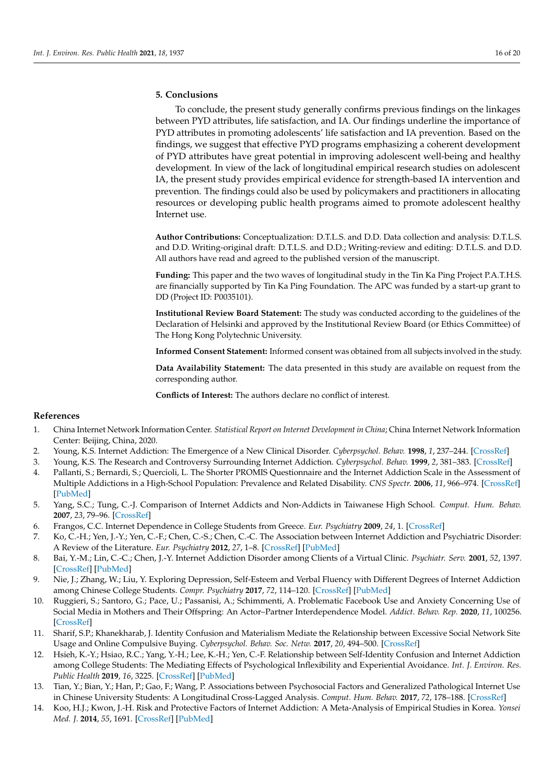# **5. Conclusions**

To conclude, the present study generally confirms previous findings on the linkages between PYD attributes, life satisfaction, and IA. Our findings underline the importance of PYD attributes in promoting adolescents' life satisfaction and IA prevention. Based on the findings, we suggest that effective PYD programs emphasizing a coherent development of PYD attributes have great potential in improving adolescent well-being and healthy development. In view of the lack of longitudinal empirical research studies on adolescent IA, the present study provides empirical evidence for strength-based IA intervention and prevention. The findings could also be used by policymakers and practitioners in allocating resources or developing public health programs aimed to promote adolescent healthy Internet use.

**Author Contributions:** Conceptualization: D.T.L.S. and D.D. Data collection and analysis: D.T.L.S. and D.D. Writing-original draft: D.T.L.S. and D.D.; Writing-review and editing: D.T.L.S. and D.D. All authors have read and agreed to the published version of the manuscript.

**Funding:** This paper and the two waves of longitudinal study in the Tin Ka Ping Project P.A.T.H.S. are financially supported by Tin Ka Ping Foundation. The APC was funded by a start-up grant to DD (Project ID: P0035101).

**Institutional Review Board Statement:** The study was conducted according to the guidelines of the Declaration of Helsinki and approved by the Institutional Review Board (or Ethics Committee) of The Hong Kong Polytechnic University.

**Informed Consent Statement:** Informed consent was obtained from all subjects involved in the study.

**Data Availability Statement:** The data presented in this study are available on request from the corresponding author.

**Conflicts of Interest:** The authors declare no conflict of interest.

## **References**

- <span id="page-15-0"></span>1. China Internet Network Information Center. *Statistical Report on Internet Development in China*; China Internet Network Information Center: Beijing, China, 2020.
- <span id="page-15-1"></span>2. Young, K.S. Internet Addiction: The Emergence of a New Clinical Disorder. *Cyberpsychol. Behav.* **1998**, *1*, 237–244. [\[CrossRef\]](http://doi.org/10.1089/cpb.1998.1.237)
- <span id="page-15-2"></span>3. Young, K.S. The Research and Controversy Surrounding Internet Addiction. *Cyberpsychol. Behav.* **1999**, *2*, 381–383. [\[CrossRef\]](http://doi.org/10.1089/cpb.1999.2.381)
- <span id="page-15-3"></span>4. Pallanti, S.; Bernardi, S.; Quercioli, L. The Shorter PROMIS Questionnaire and the Internet Addiction Scale in the Assessment of Multiple Addictions in a High-School Population: Prevalence and Related Disability. *CNS Spectr.* **2006**, *11*, 966–974. [\[CrossRef\]](http://doi.org/10.1017/S1092852900015157) [\[PubMed\]](http://www.ncbi.nlm.nih.gov/pubmed/17146410)
- <span id="page-15-4"></span>5. Yang, S.C.; Tung, C.-J. Comparison of Internet Addicts and Non-Addicts in Taiwanese High School. *Comput. Hum. Behav.* **2007**, *23*, 79–96. [\[CrossRef\]](http://doi.org/10.1016/j.chb.2004.03.037)
- <span id="page-15-5"></span>6. Frangos, C.C. Internet Dependence in College Students from Greece. *Eur. Psychiatry* **2009**, *24*, 1. [\[CrossRef\]](http://doi.org/10.1016/S0924-9338(09)70652-2)
- <span id="page-15-6"></span>7. Ko, C.-H.; Yen, J.-Y.; Yen, C.-F.; Chen, C.-S.; Chen, C.-C. The Association between Internet Addiction and Psychiatric Disorder: A Review of the Literature. *Eur. Psychiatry* **2012**, *27*, 1–8. [\[CrossRef\]](http://doi.org/10.1016/j.eurpsy.2010.04.011) [\[PubMed\]](http://www.ncbi.nlm.nih.gov/pubmed/22153731)
- 8. Bai, Y.-M.; Lin, C.-C.; Chen, J.-Y. Internet Addiction Disorder among Clients of a Virtual Clinic. *Psychiatr. Serv.* **2001**, *52*, 1397. [\[CrossRef\]](http://doi.org/10.1176/appi.ps.52.10.1397) [\[PubMed\]](http://www.ncbi.nlm.nih.gov/pubmed/11585966)
- <span id="page-15-7"></span>9. Nie, J.; Zhang, W.; Liu, Y. Exploring Depression, Self-Esteem and Verbal Fluency with Different Degrees of Internet Addiction among Chinese College Students. *Compr. Psychiatry* **2017**, *72*, 114–120. [\[CrossRef\]](http://doi.org/10.1016/j.comppsych.2016.10.006) [\[PubMed\]](http://www.ncbi.nlm.nih.gov/pubmed/27810547)
- <span id="page-15-8"></span>10. Ruggieri, S.; Santoro, G.; Pace, U.; Passanisi, A.; Schimmenti, A. Problematic Facebook Use and Anxiety Concerning Use of Social Media in Mothers and Their Offspring: An Actor–Partner Interdependence Model. *Addict. Behav. Rep.* **2020**, *11*, 100256. [\[CrossRef\]](http://doi.org/10.1016/j.abrep.2020.100256)
- <span id="page-15-9"></span>11. Sharif, S.P.; Khanekharab, J. Identity Confusion and Materialism Mediate the Relationship between Excessive Social Network Site Usage and Online Compulsive Buying. *Cyberpsychol. Behav. Soc. Netw.* **2017**, *20*, 494–500. [\[CrossRef\]](http://doi.org/10.1089/cyber.2017.0162)
- <span id="page-15-10"></span>12. Hsieh, K.-Y.; Hsiao, R.C.; Yang, Y.-H.; Lee, K.-H.; Yen, C.-F. Relationship between Self-Identity Confusion and Internet Addiction among College Students: The Mediating Effects of Psychological Inflexibility and Experiential Avoidance. *Int. J. Environ. Res. Public Health* **2019**, *16*, 3225. [\[CrossRef\]](http://doi.org/10.3390/ijerph16173225) [\[PubMed\]](http://www.ncbi.nlm.nih.gov/pubmed/31484435)
- <span id="page-15-11"></span>13. Tian, Y.; Bian, Y.; Han, P.; Gao, F.; Wang, P. Associations between Psychosocial Factors and Generalized Pathological Internet Use in Chinese University Students: A Longitudinal Cross-Lagged Analysis. *Comput. Hum. Behav.* **2017**, *72*, 178–188. [\[CrossRef\]](http://doi.org/10.1016/j.chb.2017.02.048)
- <span id="page-15-12"></span>14. Koo, H.J.; Kwon, J.-H. Risk and Protective Factors of Internet Addiction: A Meta-Analysis of Empirical Studies in Korea. *Yonsei Med. J.* **2014**, *55*, 1691. [\[CrossRef\]](http://doi.org/10.3349/ymj.2014.55.6.1691) [\[PubMed\]](http://www.ncbi.nlm.nih.gov/pubmed/25323910)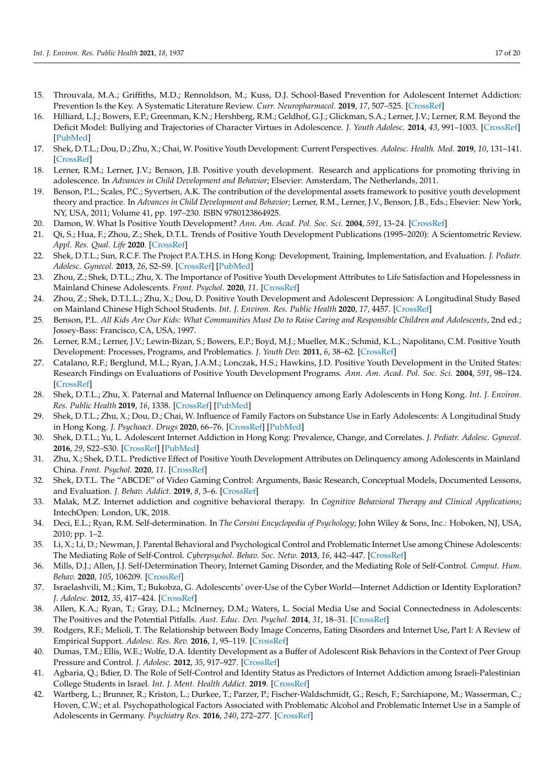- <span id="page-16-0"></span>15. Throuvala, M.A.; Griffiths, M.D.; Rennoldson, M.; Kuss, D.J. School-Based Prevention for Adolescent Internet Addiction: Prevention Is the Key. A Systematic Literature Review. *Curr. Neuropharmacol.* **2019**, *17*, 507–525. [\[CrossRef\]](http://doi.org/10.2174/1570159X16666180813153806)
- <span id="page-16-1"></span>16. Hilliard, L.J.; Bowers, E.P.; Greenman, K.N.; Hershberg, R.M.; Geldhof, G.J.; Glickman, S.A.; Lerner, J.V.; Lerner, R.M. Beyond the Deficit Model: Bullying and Trajectories of Character Virtues in Adolescence. *J. Youth Adolesc.* **2014**, *43*, 991–1003. [\[CrossRef\]](http://doi.org/10.1007/s10964-014-0094-y) [\[PubMed\]](http://www.ncbi.nlm.nih.gov/pubmed/24531881)
- <span id="page-16-2"></span>17. Shek, D.T.L.; Dou, D.; Zhu, X.; Chai, W. Positive Youth Development: Current Perspectives. *Adolesc. Health. Med.* **2019**, *10*, 131–141. [\[CrossRef\]](http://doi.org/10.2147/AHMT.S179946)
- <span id="page-16-3"></span>18. Lerner, R.M.; Lerner, J.V.; Benson, J.B. Positive youth development. Research and applications for promoting thriving in adolescence. In *Advances in Child Development and Behavior*; Elsevier: Amsterdam, The Netherlands, 2011.
- <span id="page-16-4"></span>19. Benson, P.L.; Scales, P.C.; Syvertsen, A.K. The contribution of the developmental assets framework to positive youth development theory and practice. In *Advances in Child Development and Behavior*; Lerner, R.M., Lerner, J.V., Benson, J.B., Eds.; Elsevier: New York, NY, USA, 2011; Volume 41, pp. 197–230. ISBN 9780123864925.
- <span id="page-16-5"></span>20. Damon, W. What Is Positive Youth Development? *Ann. Am. Acad. Pol. Soc. Sci.* **2004**, *591*, 13–24. [\[CrossRef\]](http://doi.org/10.1177/0002716203260092)
- <span id="page-16-6"></span>21. Qi, S.; Hua, F.; Zhou, Z.; Shek, D.T.L. Trends of Positive Youth Development Publications (1995–2020): A Scientometric Review. *Appl. Res. Qual. Life* **2020**. [\[CrossRef\]](http://doi.org/10.1007/s11482-020-09878-3)
- <span id="page-16-7"></span>22. Shek, D.T.L.; Sun, R.C.F. The Project P.A.T.H.S. in Hong Kong: Development, Training, Implementation, and Evaluation. *J. Pediatr. Adolesc. Gynecol.* **2013**, *26*, S2–S9. [\[CrossRef\]](http://doi.org/10.1016/j.jpag.2013.03.009) [\[PubMed\]](http://www.ncbi.nlm.nih.gov/pubmed/23683823)
- <span id="page-16-26"></span>23. Zhou, Z.; Shek, D.T.L.; Zhu, X. The Importance of Positive Youth Development Attributes to Life Satisfaction and Hopelessness in Mainland Chinese Adolescents. *Front. Psychol.* **2020**, *11*. [\[CrossRef\]](http://doi.org/10.3389/fpsyg.2020.553313)
- <span id="page-16-8"></span>24. Zhou, Z.; Shek, D.T.L.L.; Zhu, X.; Dou, D. Positive Youth Development and Adolescent Depression: A Longitudinal Study Based on Mainland Chinese High School Students. *Int. J. Environ. Res. Public Health* **2020**, *17*, 4457. [\[CrossRef\]](http://doi.org/10.3390/ijerph17124457)
- <span id="page-16-9"></span>25. Benson, P.L. *All Kids Are Our Kids: What Communities Must Do to Raise Caring and Responsible Children and Adolescents*, 2nd ed.; Jossey-Bass: Francisco, CA, USA, 1997.
- <span id="page-16-10"></span>26. Lerner, R.M.; Lerner, J.V.; Lewin-Bizan, S.; Bowers, E.P.; Boyd, M.J.; Mueller, M.K.; Schmid, K.L.; Napolitano, C.M. Positive Youth Development: Processes, Programs, and Problematics. *J. Youth Dev.* **2011**, *6*, 38–62. [\[CrossRef\]](http://doi.org/10.5195/JYD.2011.174)
- <span id="page-16-11"></span>27. Catalano, R.F.; Berglund, M.L.; Ryan, J.A.M.; Lonczak, H.S.; Hawkins, J.D. Positive Youth Development in the United States: Research Findings on Evaluations of Positive Youth Development Programs. *Ann. Am. Acad. Pol. Soc. Sci.* **2004**, *591*, 98–124. [\[CrossRef\]](http://doi.org/10.1177/0002716203260102)
- <span id="page-16-12"></span>28. Shek, D.T.L.; Zhu, X. Paternal and Maternal Influence on Delinquency among Early Adolescents in Hong Kong. *Int. J. Environ. Res. Public Health* **2019**, *16*, 1338. [\[CrossRef\]](http://doi.org/10.3390/ijerph16081338) [\[PubMed\]](http://www.ncbi.nlm.nih.gov/pubmed/31013967)
- 29. Shek, D.T.L.; Zhu, X.; Dou, D.; Chai, W. Influence of Family Factors on Substance Use in Early Adolescents: A Longitudinal Study in Hong Kong. *J. Psychoact. Drugs* **2020**, 66–76. [\[CrossRef\]](http://doi.org/10.1080/02791072.2019.1707333) [\[PubMed\]](http://www.ncbi.nlm.nih.gov/pubmed/31865866)
- <span id="page-16-25"></span>30. Shek, D.T.L.; Yu, L. Adolescent Internet Addiction in Hong Kong: Prevalence, Change, and Correlates. *J. Pediatr. Adolesc. Gynecol.* **2016**, *29*, S22–S30. [\[CrossRef\]](http://doi.org/10.1016/j.jpag.2015.10.005) [\[PubMed\]](http://www.ncbi.nlm.nih.gov/pubmed/26461526)
- <span id="page-16-13"></span>31. Zhu, X.; Shek, D.T.L. Predictive Effect of Positive Youth Development Attributes on Delinquency among Adolescents in Mainland China. *Front. Psychol.* **2020**, *11*. [\[CrossRef\]](http://doi.org/10.3389/fpsyg.2020.615900)
- <span id="page-16-14"></span>32. Shek, D.T.L. The "ABCDE" of Video Gaming Control: Arguments, Basic Research, Conceptual Models, Documented Lessons, and Evaluation. *J. Behav. Addict.* **2019**, *8*, 3–6. [\[CrossRef\]](http://doi.org/10.1556/2006.8.2019.13)
- <span id="page-16-15"></span>33. Malak, M.Z. Internet addiction and cognitive behavioral therapy. In *Cognitive Behavioral Therapy and Clinical Applications*; IntechOpen: London, UK, 2018.
- <span id="page-16-16"></span>34. Deci, E.L.; Ryan, R.M. Self-determination. In *The Corsini Encyclopedia of Psychology*; John Wiley & Sons, Inc.: Hoboken, NJ, USA, 2010; pp. 1–2.
- <span id="page-16-17"></span>35. Li, X.; Li, D.; Newman, J. Parental Behavioral and Psychological Control and Problematic Internet Use among Chinese Adolescents: The Mediating Role of Self-Control. *Cyberpsychol. Behav. Soc. Netw.* **2013**, *16*, 442–447. [\[CrossRef\]](http://doi.org/10.1089/cyber.2012.0293)
- <span id="page-16-18"></span>36. Mills, D.J.; Allen, J.J. Self-Determination Theory, Internet Gaming Disorder, and the Mediating Role of Self-Control. *Comput. Hum. Behav.* **2020**, *105*, 106209. [\[CrossRef\]](http://doi.org/10.1016/j.chb.2019.106209)
- <span id="page-16-19"></span>37. Israelashvili, M.; Kim, T.; Bukobza, G. Adolescents' over-Use of the Cyber World—Internet Addiction or Identity Exploration? *J. Adolesc.* **2012**, *35*, 417–424. [\[CrossRef\]](http://doi.org/10.1016/j.adolescence.2011.07.015)
- <span id="page-16-20"></span>38. Allen, K.A.; Ryan, T.; Gray, D.L.; McInerney, D.M.; Waters, L. Social Media Use and Social Connectedness in Adolescents: The Positives and the Potential Pitfalls. *Aust. Educ. Dev. Psychol.* **2014**, *31*, 18–31. [\[CrossRef\]](http://doi.org/10.1017/edp.2014.2)
- <span id="page-16-21"></span>39. Rodgers, R.F.; Melioli, T. The Relationship between Body Image Concerns, Eating Disorders and Internet Use, Part I: A Review of Empirical Support. *Adolesc. Res. Rev.* **2016**, *1*, 95–119. [\[CrossRef\]](http://doi.org/10.1007/s40894-015-0016-6)
- <span id="page-16-22"></span>40. Dumas, T.M.; Ellis, W.E.; Wolfe, D.A. Identity Development as a Buffer of Adolescent Risk Behaviors in the Context of Peer Group Pressure and Control. *J. Adolesc.* **2012**, *35*, 917–927. [\[CrossRef\]](http://doi.org/10.1016/j.adolescence.2011.12.012)
- <span id="page-16-23"></span>41. Agbaria, Q.; Bdier, D. The Role of Self-Control and Identity Status as Predictors of Internet Addiction among Israeli-Palestinian College Students in Israel. *Int. J. Ment. Health Addict.* **2019**. [\[CrossRef\]](http://doi.org/10.1007/s11469-019-00172-4)
- <span id="page-16-24"></span>42. Wartberg, L.; Brunner, R.; Kriston, L.; Durkee, T.; Parzer, P.; Fischer-Waldschmidt, G.; Resch, F.; Sarchiapone, M.; Wasserman, C.; Hoven, C.W.; et al. Psychopathological Factors Associated with Problematic Alcohol and Problematic Internet Use in a Sample of Adolescents in Germany. *Psychiatry Res.* **2016**, *240*, 272–277. [\[CrossRef\]](http://doi.org/10.1016/j.psychres.2016.04.057)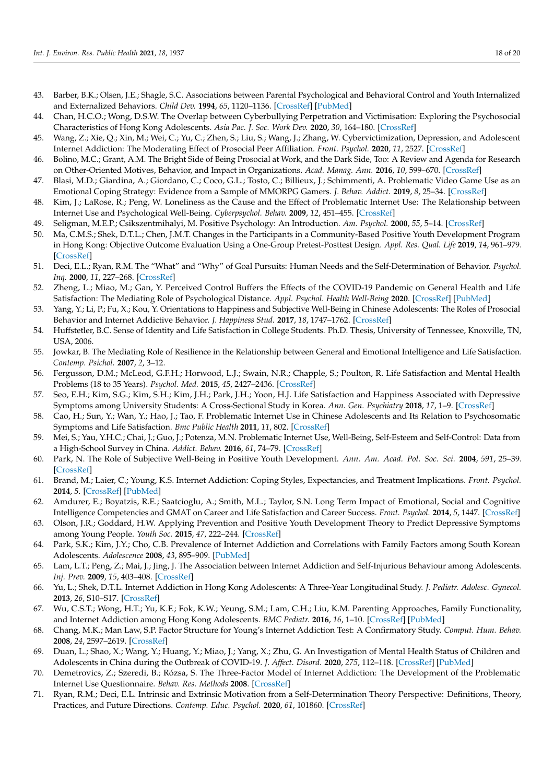- <span id="page-17-0"></span>43. Barber, B.K.; Olsen, J.E.; Shagle, S.C. Associations between Parental Psychological and Behavioral Control and Youth Internalized and Externalized Behaviors. *Child Dev.* **1994**, *65*, 1120–1136. [\[CrossRef\]](http://doi.org/10.2307/1131309) [\[PubMed\]](http://www.ncbi.nlm.nih.gov/pubmed/7956469)
- <span id="page-17-1"></span>44. Chan, H.C.O.; Wong, D.S.W. The Overlap between Cyberbullying Perpetration and Victimisation: Exploring the Psychosocial Characteristics of Hong Kong Adolescents. *Asia Pac. J. Soc. Work Dev.* **2020**, *30*, 164–180. [\[CrossRef\]](http://doi.org/10.1080/02185385.2020.1761436)
- <span id="page-17-2"></span>45. Wang, Z.; Xie, Q.; Xin, M.; Wei, C.; Yu, C.; Zhen, S.; Liu, S.; Wang, J.; Zhang, W. Cybervictimization, Depression, and Adolescent Internet Addiction: The Moderating Effect of Prosocial Peer Affiliation. *Front. Psychol.* **2020**, *11*, 2527. [\[CrossRef\]](http://doi.org/10.3389/fpsyg.2020.572486)
- <span id="page-17-3"></span>46. Bolino, M.C.; Grant, A.M. The Bright Side of Being Prosocial at Work, and the Dark Side, Too: A Review and Agenda for Research on Other-Oriented Motives, Behavior, and Impact in Organizations. *Acad. Manag. Ann.* **2016**, *10*, 599–670. [\[CrossRef\]](http://doi.org/10.5465/19416520.2016.1153260)
- <span id="page-17-4"></span>47. Blasi, M.D.; Giardina, A.; Giordano, C.; Coco, G.L.; Tosto, C.; Billieux, J.; Schimmenti, A. Problematic Video Game Use as an Emotional Coping Strategy: Evidence from a Sample of MMORPG Gamers. *J. Behav. Addict.* **2019**, *8*, 25–34. [\[CrossRef\]](http://doi.org/10.1556/2006.8.2019.02)
- <span id="page-17-5"></span>48. Kim, J.; LaRose, R.; Peng, W. Loneliness as the Cause and the Effect of Problematic Internet Use: The Relationship between Internet Use and Psychological Well-Being. *Cyberpsychol. Behav.* **2009**, *12*, 451–455. [\[CrossRef\]](http://doi.org/10.1089/cpb.2008.0327)
- <span id="page-17-6"></span>49. Seligman, M.E.P.; Csikszentmihalyi, M. Positive Psychology: An Introduction. *Am. Psychol.* **2000**, *55*, 5–14. [\[CrossRef\]](http://doi.org/10.1037/0003-066X.55.1.5)
- <span id="page-17-7"></span>50. Ma, C.M.S.; Shek, D.T.L.; Chen, J.M.T. Changes in the Participants in a Community-Based Positive Youth Development Program in Hong Kong: Objective Outcome Evaluation Using a One-Group Pretest-Posttest Design. *Appl. Res. Qual. Life* **2019**, *14*, 961–979. [\[CrossRef\]](http://doi.org/10.1007/s11482-018-9632-1)
- <span id="page-17-8"></span>51. Deci, E.L.; Ryan, R.M. The "What" and "Why" of Goal Pursuits: Human Needs and the Self-Determination of Behavior. *Psychol. Inq.* **2000**, *11*, 227–268. [\[CrossRef\]](http://doi.org/10.1207/S15327965PLI1104_01)
- <span id="page-17-9"></span>52. Zheng, L.; Miao, M.; Gan, Y. Perceived Control Buffers the Effects of the COVID-19 Pandemic on General Health and Life Satisfaction: The Mediating Role of Psychological Distance. *Appl. Psychol. Health Well-Being* **2020**. [\[CrossRef\]](http://doi.org/10.1111/aphw.12232) [\[PubMed\]](http://www.ncbi.nlm.nih.gov/pubmed/32955170)
- <span id="page-17-10"></span>53. Yang, Y.; Li, P.; Fu, X.; Kou, Y. Orientations to Happiness and Subjective Well-Being in Chinese Adolescents: The Roles of Prosocial Behavior and Internet Addictive Behavior. *J. Happiness Stud.* **2017**, *18*, 1747–1762. [\[CrossRef\]](http://doi.org/10.1007/s10902-016-9794-1)
- <span id="page-17-11"></span>54. Huffstetler, B.C. Sense of Identity and Life Satisfaction in College Students. Ph.D. Thesis, University of Tennessee, Knoxville, TN, USA, 2006.
- <span id="page-17-12"></span>55. Jowkar, B. The Mediating Role of Resilience in the Relationship between General and Emotional Intelligence and Life Satisfaction. *Contemp. Psichol.* **2007**, *2*, 3–12.
- <span id="page-17-13"></span>56. Fergusson, D.M.; McLeod, G.F.H.; Horwood, L.J.; Swain, N.R.; Chapple, S.; Poulton, R. Life Satisfaction and Mental Health Problems (18 to 35 Years). *Psychol. Med.* **2015**, *45*, 2427–2436. [\[CrossRef\]](http://doi.org/10.1017/S0033291715000422)
- <span id="page-17-14"></span>57. Seo, E.H.; Kim, S.G.; Kim, S.H.; Kim, J.H.; Park, J.H.; Yoon, H.J. Life Satisfaction and Happiness Associated with Depressive Symptoms among University Students: A Cross-Sectional Study in Korea. *Ann. Gen. Psychiatry* **2018**, *17*, 1–9. [\[CrossRef\]](http://doi.org/10.1186/s12991-018-0223-1)
- <span id="page-17-15"></span>58. Cao, H.; Sun, Y.; Wan, Y.; Hao, J.; Tao, F. Problematic Internet Use in Chinese Adolescents and Its Relation to Psychosomatic Symptoms and Life Satisfaction. *Bmc Public Health* **2011**, *11*, 802. [\[CrossRef\]](http://doi.org/10.1186/1471-2458-11-802)
- <span id="page-17-16"></span>59. Mei, S.; Yau, Y.H.C.; Chai, J.; Guo, J.; Potenza, M.N. Problematic Internet Use, Well-Being, Self-Esteem and Self-Control: Data from a High-School Survey in China. *Addict. Behav.* **2016**, *61*, 74–79. [\[CrossRef\]](http://doi.org/10.1016/j.addbeh.2016.05.009)
- <span id="page-17-17"></span>60. Park, N. The Role of Subjective Well-Being in Positive Youth Development. *Ann. Am. Acad. Pol. Soc. Sci.* **2004**, *591*, 25–39. [\[CrossRef\]](http://doi.org/10.1177/0002716203260078)
- <span id="page-17-18"></span>61. Brand, M.; Laier, C.; Young, K.S. Internet Addiction: Coping Styles, Expectancies, and Treatment Implications. *Front. Psychol.* **2014**, *5*. [\[CrossRef\]](http://doi.org/10.3389/fpsyg.2014.01256) [\[PubMed\]](http://www.ncbi.nlm.nih.gov/pubmed/25426088)
- <span id="page-17-19"></span>62. Amdurer, E.; Boyatzis, R.E.; Saatcioglu, A.; Smith, M.L.; Taylor, S.N. Long Term Impact of Emotional, Social and Cognitive Intelligence Competencies and GMAT on Career and Life Satisfaction and Career Success. *Front. Psychol.* **2014**, *5*, 1447. [\[CrossRef\]](http://doi.org/10.3389/fpsyg.2014.01447)
- <span id="page-17-20"></span>63. Olson, J.R.; Goddard, H.W. Applying Prevention and Positive Youth Development Theory to Predict Depressive Symptoms among Young People. *Youth Soc.* **2015**, *47*, 222–244. [\[CrossRef\]](http://doi.org/10.1177/0044118X12457689)
- <span id="page-17-21"></span>64. Park, S.K.; Kim, J.Y.; Cho, C.B. Prevalence of Internet Addiction and Correlations with Family Factors among South Korean Adolescents. *Adolescence* **2008**, *43*, 895–909. [\[PubMed\]](http://www.ncbi.nlm.nih.gov/pubmed/19149152)
- <span id="page-17-22"></span>65. Lam, L.T.; Peng, Z.; Mai, J.; Jing, J. The Association between Internet Addiction and Self-Injurious Behaviour among Adolescents. *Inj. Prev.* **2009**, *15*, 403–408. [\[CrossRef\]](http://doi.org/10.1136/ip.2009.021949)
- <span id="page-17-23"></span>66. Yu, L.; Shek, D.T.L. Internet Addiction in Hong Kong Adolescents: A Three-Year Longitudinal Study. *J. Pediatr. Adolesc. Gynecol.* **2013**, *26*, S10–S17. [\[CrossRef\]](http://doi.org/10.1016/j.jpag.2013.03.010)
- <span id="page-17-24"></span>67. Wu, C.S.T.; Wong, H.T.; Yu, K.F.; Fok, K.W.; Yeung, S.M.; Lam, C.H.; Liu, K.M. Parenting Approaches, Family Functionality, and Internet Addiction among Hong Kong Adolescents. *BMC Pediatr.* **2016**, *16*, 1–10. [\[CrossRef\]](http://doi.org/10.1186/s12887-016-0666-y) [\[PubMed\]](http://www.ncbi.nlm.nih.gov/pubmed/27538688)
- <span id="page-17-25"></span>68. Chang, M.K.; Man Law, S.P. Factor Structure for Young's Internet Addiction Test: A Confirmatory Study. *Comput. Hum. Behav.* **2008**, *24*, 2597–2619. [\[CrossRef\]](http://doi.org/10.1016/j.chb.2008.03.001)
- <span id="page-17-26"></span>69. Duan, L.; Shao, X.; Wang, Y.; Huang, Y.; Miao, J.; Yang, X.; Zhu, G. An Investigation of Mental Health Status of Children and Adolescents in China during the Outbreak of COVID-19. *J. Affect. Disord.* **2020**, *275*, 112–118. [\[CrossRef\]](http://doi.org/10.1016/j.jad.2020.06.029) [\[PubMed\]](http://www.ncbi.nlm.nih.gov/pubmed/32658812)
- <span id="page-17-27"></span>70. Demetrovics, Z.; Szeredi, B.; Rózsa, S. The Three-Factor Model of Internet Addiction: The Development of the Problematic Internet Use Questionnaire. *Behav. Res. Methods* **2008**. [\[CrossRef\]](http://doi.org/10.3758/BRM.40.2.563)
- <span id="page-17-28"></span>71. Ryan, R.M.; Deci, E.L. Intrinsic and Extrinsic Motivation from a Self-Determination Theory Perspective: Definitions, Theory, Practices, and Future Directions. *Contemp. Educ. Psychol.* **2020**, *61*, 101860. [\[CrossRef\]](http://doi.org/10.1016/j.cedpsych.2020.101860)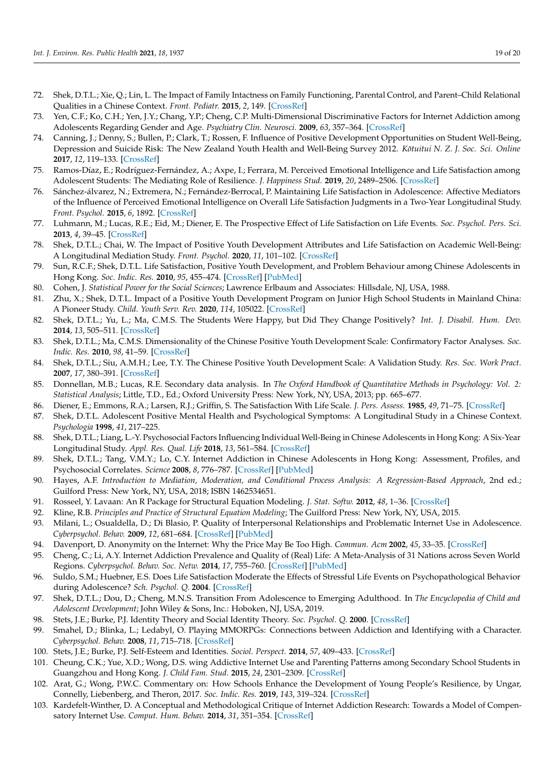- <span id="page-18-0"></span>72. Shek, D.T.L.; Xie, Q.; Lin, L. The Impact of Family Intactness on Family Functioning, Parental Control, and Parent–Child Relational Qualities in a Chinese Context. *Front. Pediatr.* **2015**, *2*, 149. [\[CrossRef\]](http://doi.org/10.3389/fped.2014.00149)
- <span id="page-18-1"></span>73. Yen, C.F.; Ko, C.H.; Yen, J.Y.; Chang, Y.P.; Cheng, C.P. Multi-Dimensional Discriminative Factors for Internet Addiction among Adolescents Regarding Gender and Age. *Psychiatry Clin. Neurosci.* **2009**, *63*, 357–364. [\[CrossRef\]](http://doi.org/10.1111/j.1440-1819.2009.01969.x)
- <span id="page-18-2"></span>74. Canning, J.; Denny, S.; Bullen, P.; Clark, T.; Rossen, F. Influence of Positive Development Opportunities on Student Well-Being, Depression and Suicide Risk: The New Zealand Youth Health and Well-Being Survey 2012. *Kötuitui N. Z. J. Soc. Sci. Online* **2017**, *12*, 119–133. [\[CrossRef\]](http://doi.org/10.1080/1177083X.2017.1300924)
- <span id="page-18-3"></span>75. Ramos-Díaz, E.; Rodríguez-Fernández, A.; Axpe, I.; Ferrara, M. Perceived Emotional Intelligence and Life Satisfaction among Adolescent Students: The Mediating Role of Resilience. *J. Happiness Stud.* **2019**, *20*, 2489–2506. [\[CrossRef\]](http://doi.org/10.1007/s10902-018-0058-0)
- <span id="page-18-4"></span>76. Sánchez-álvarez, N.; Extremera, N.; Fernández-Berrocal, P. Maintaining Life Satisfaction in Adolescence: Affective Mediators of the Influence of Perceived Emotional Intelligence on Overall Life Satisfaction Judgments in a Two-Year Longitudinal Study. *Front. Psychol.* **2015**, *6*, 1892. [\[CrossRef\]](http://doi.org/10.3389/fpsyg.2015.01892)
- <span id="page-18-5"></span>77. Luhmann, M.; Lucas, R.E.; Eid, M.; Diener, E. The Prospective Effect of Life Satisfaction on Life Events. *Soc. Psychol. Pers. Sci.* **2013**, *4*, 39–45. [\[CrossRef\]](http://doi.org/10.1177/1948550612440105)
- <span id="page-18-6"></span>78. Shek, D.T.L.; Chai, W. The Impact of Positive Youth Development Attributes and Life Satisfaction on Academic Well-Being: A Longitudinal Mediation Study. *Front. Psychol.* **2020**, *11*, 101–102. [\[CrossRef\]](http://doi.org/10.3389/fpsyg.2020.02126)
- <span id="page-18-7"></span>79. Sun, R.C.F.; Shek, D.T.L. Life Satisfaction, Positive Youth Development, and Problem Behaviour among Chinese Adolescents in Hong Kong. *Soc. Indic. Res.* **2010**, *95*, 455–474. [\[CrossRef\]](http://doi.org/10.1007/s11205-009-9531-9) [\[PubMed\]](http://www.ncbi.nlm.nih.gov/pubmed/20062815)
- <span id="page-18-8"></span>80. Cohen, J. *Statistical Power for the Social Sciences*; Lawrence Erlbaum and Associates: Hillsdale, NJ, USA, 1988.
- <span id="page-18-9"></span>81. Zhu, X.; Shek, D.T.L. Impact of a Positive Youth Development Program on Junior High School Students in Mainland China: A Pioneer Study. *Child. Youth Serv. Rev.* **2020**, *114*, 105022. [\[CrossRef\]](http://doi.org/10.1016/j.childyouth.2020.105022)
- <span id="page-18-10"></span>82. Shek, D.T.L.; Yu, L.; Ma, C.M.S. The Students Were Happy, but Did They Change Positively? *Int. J. Disabil. Hum. Dev.* **2014**, *13*, 505–511. [\[CrossRef\]](http://doi.org/10.1515/ijdhd-2014-0348)
- <span id="page-18-11"></span>83. Shek, D.T.L.; Ma, C.M.S. Dimensionality of the Chinese Positive Youth Development Scale: Confirmatory Factor Analyses. *Soc. Indic. Res.* **2010**, *98*, 41–59. [\[CrossRef\]](http://doi.org/10.1007/s11205-009-9515-9)
- <span id="page-18-12"></span>84. Shek, D.T.L.; Siu, A.M.H.; Lee, T.Y. The Chinese Positive Youth Development Scale: A Validation Study. *Res. Soc. Work Pract.* **2007**, *17*, 380–391. [\[CrossRef\]](http://doi.org/10.1177/1049731506296196)
- <span id="page-18-13"></span>85. Donnellan, M.B.; Lucas, R.E. Secondary data analysis. In *The Oxford Handbook of Quantitative Methods in Psychology: Vol. 2: Statistical Analysis*; Little, T.D., Ed.; Oxford University Press: New York, NY, USA, 2013; pp. 665–677.
- <span id="page-18-14"></span>86. Diener, E.; Emmons, R.A.; Larsen, R.J.; Griffin, S. The Satisfaction With Life Scale. *J. Pers. Assess.* **1985**, *49*, 71–75. [\[CrossRef\]](http://doi.org/10.1207/s15327752jpa4901_13)
- <span id="page-18-15"></span>87. Shek, D.T.L. Adolescent Positive Mental Health and Psychological Symptoms: A Longitudinal Study in a Chinese Context. *Psychologia* **1998**, *41*, 217–225.
- <span id="page-18-16"></span>88. Shek, D.T.L.; Liang, L.-Y. Psychosocial Factors Influencing Individual Well-Being in Chinese Adolescents in Hong Kong: A Six-Year Longitudinal Study. *Appl. Res. Qual. Life* **2018**, *13*, 561–584. [\[CrossRef\]](http://doi.org/10.1007/s11482-017-9545-4)
- <span id="page-18-17"></span>89. Shek, D.T.L.; Tang, V.M.Y.; Lo, C.Y. Internet Addiction in Chinese Adolescents in Hong Kong: Assessment, Profiles, and Psychosocial Correlates. *Science* **2008**, *8*, 776–787. [\[CrossRef\]](http://doi.org/10.1100/tsw.2008.104) [\[PubMed\]](http://www.ncbi.nlm.nih.gov/pubmed/18690381)
- <span id="page-18-18"></span>90. Hayes, A.F. *Introduction to Mediation, Moderation, and Conditional Process Analysis: A Regression-Based Approach*, 2nd ed.; Guilford Press: New York, NY, USA, 2018; ISBN 1462534651.
- <span id="page-18-19"></span>91. Rosseel, Y. Lavaan: An R Package for Structural Equation Modeling. *J. Stat. Softw.* **2012**, *48*, 1–36. [\[CrossRef\]](http://doi.org/10.18637/jss.v048.i02)
- <span id="page-18-20"></span>92. Kline, R.B. *Principles and Practice of Structural Equation Modeling*; The Guilford Press: New York, NY, USA, 2015.
- <span id="page-18-21"></span>93. Milani, L.; Osualdella, D.; Di Blasio, P. Quality of Interpersonal Relationships and Problematic Internet Use in Adolescence. *Cyberpsychol. Behav.* **2009**, *12*, 681–684. [\[CrossRef\]](http://doi.org/10.1089/cpb.2009.0071) [\[PubMed\]](http://www.ncbi.nlm.nih.gov/pubmed/19788382)
- <span id="page-18-22"></span>94. Davenport, D. Anonymity on the Internet: Why the Price May Be Too High. *Commun. Acm* **2002**, *45*, 33–35. [\[CrossRef\]](http://doi.org/10.1145/505248.505267)
- <span id="page-18-23"></span>95. Cheng, C.; Li, A.Y. Internet Addiction Prevalence and Quality of (Real) Life: A Meta-Analysis of 31 Nations across Seven World Regions. *Cyberpsychol. Behav. Soc. Netw.* **2014**, *17*, 755–760. [\[CrossRef\]](http://doi.org/10.1089/cyber.2014.0317) [\[PubMed\]](http://www.ncbi.nlm.nih.gov/pubmed/25489876)
- <span id="page-18-24"></span>96. Suldo, S.M.; Huebner, E.S. Does Life Satisfaction Moderate the Effects of Stressful Life Events on Psychopathological Behavior during Adolescence? *Sch. Psychol. Q.* **2004**. [\[CrossRef\]](http://doi.org/10.1521/scpq.19.2.93.33313)
- <span id="page-18-25"></span>97. Shek, D.T.L.; Dou, D.; Cheng, M.N.S. Transition From Adolescence to Emerging Adulthood. In *The Encyclopedia of Child and Adolescent Development*; John Wiley & Sons, Inc.: Hoboken, NJ, USA, 2019.
- <span id="page-18-26"></span>98. Stets, J.E.; Burke, P.J. Identity Theory and Social Identity Theory. *Soc. Psychol. Q.* **2000**. [\[CrossRef\]](http://doi.org/10.2307/2695870)
- <span id="page-18-27"></span>99. Smahel, D.; Blinka, L.; Ledabyl, O. Playing MMORPGs: Connections between Addiction and Identifying with a Character. *Cyberpsychol. Behav.* **2008**, *11*, 715–718. [\[CrossRef\]](http://doi.org/10.1089/cpb.2007.0210)
- <span id="page-18-28"></span>100. Stets, J.E.; Burke, P.J. Self-Esteem and Identities. *Sociol. Perspect.* **2014**, *57*, 409–433. [\[CrossRef\]](http://doi.org/10.1177/0731121414536141)
- <span id="page-18-29"></span>101. Cheung, C.K.; Yue, X.D.; Wong, D.S. wing Addictive Internet Use and Parenting Patterns among Secondary School Students in Guangzhou and Hong Kong. *J. Child Fam. Stud.* **2015**, *24*, 2301–2309. [\[CrossRef\]](http://doi.org/10.1007/s10826-014-0033-2)
- <span id="page-18-30"></span>102. Arat, G.; Wong, P.W.C. Commentary on: How Schools Enhance the Development of Young People's Resilience, by Ungar, Connelly, Liebenberg, and Theron, 2017. *Soc. Indic. Res.* **2019**, *143*, 319–324. [\[CrossRef\]](http://doi.org/10.1007/s11205-018-1971-7)
- <span id="page-18-31"></span>103. Kardefelt-Winther, D. A Conceptual and Methodological Critique of Internet Addiction Research: Towards a Model of Compensatory Internet Use. *Comput. Hum. Behav.* **2014**, *31*, 351–354. [\[CrossRef\]](http://doi.org/10.1016/j.chb.2013.10.059)